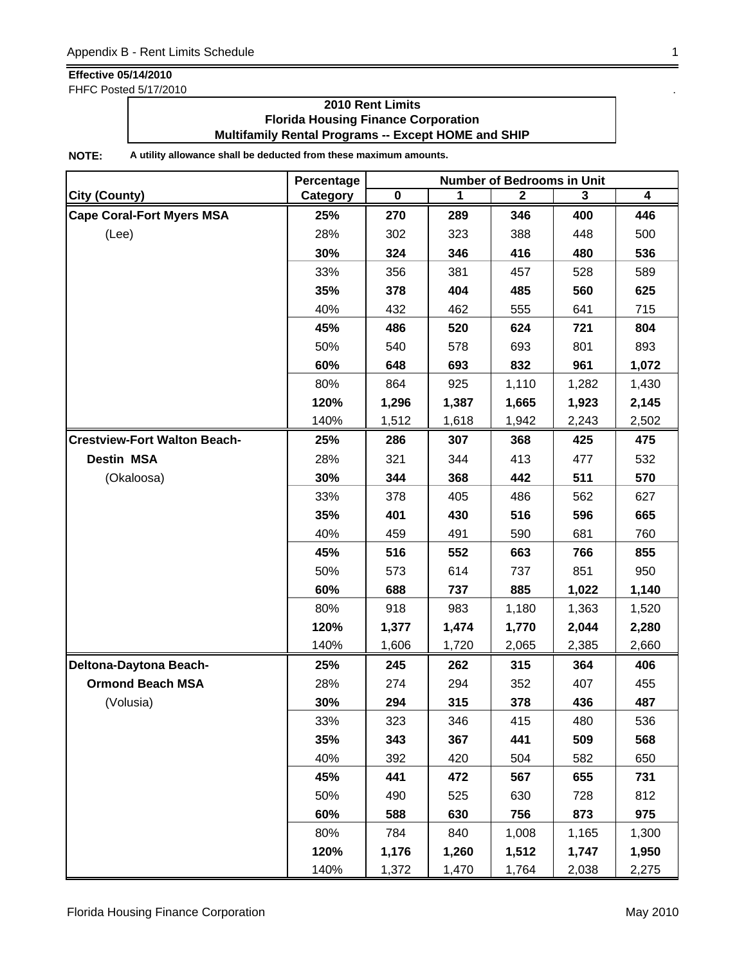FHFC Posted 5/17/2010 .

### **2010 Rent Limits Florida Housing Finance Corporation Multifamily Rental Programs -- Except HOME and SHIP**

|                                     | Percentage | <b>Number of Bedrooms in Unit</b> |       |              |       |       |  |
|-------------------------------------|------------|-----------------------------------|-------|--------------|-------|-------|--|
| <b>City (County)</b>                | Category   | $\pmb{0}$                         | 1     | $\mathbf{2}$ | 3     | 4     |  |
| <b>Cape Coral-Fort Myers MSA</b>    | 25%        | 270                               | 289   | 346          | 400   | 446   |  |
| (Lee)                               | 28%        | 302                               | 323   | 388          | 448   | 500   |  |
|                                     | 30%        | 324                               | 346   | 416          | 480   | 536   |  |
|                                     | 33%        | 356                               | 381   | 457          | 528   | 589   |  |
|                                     | 35%        | 378                               | 404   | 485          | 560   | 625   |  |
|                                     | 40%        | 432                               | 462   | 555          | 641   | 715   |  |
|                                     | 45%        | 486                               | 520   | 624          | 721   | 804   |  |
|                                     | 50%        | 540                               | 578   | 693          | 801   | 893   |  |
|                                     | 60%        | 648                               | 693   | 832          | 961   | 1,072 |  |
|                                     | 80%        | 864                               | 925   | 1,110        | 1,282 | 1,430 |  |
|                                     | 120%       | 1,296                             | 1,387 | 1,665        | 1,923 | 2,145 |  |
|                                     | 140%       | 1,512                             | 1,618 | 1,942        | 2,243 | 2,502 |  |
| <b>Crestview-Fort Walton Beach-</b> | 25%        | 286                               | 307   | 368          | 425   | 475   |  |
| <b>Destin MSA</b>                   | 28%        | 321                               | 344   | 413          | 477   | 532   |  |
| (Okaloosa)                          | 30%        | 344                               | 368   | 442          | 511   | 570   |  |
|                                     | 33%        | 378                               | 405   | 486          | 562   | 627   |  |
|                                     | 35%        | 401                               | 430   | 516          | 596   | 665   |  |
|                                     | 40%        | 459                               | 491   | 590          | 681   | 760   |  |
|                                     | 45%        | 516                               | 552   | 663          | 766   | 855   |  |
|                                     | 50%        | 573                               | 614   | 737          | 851   | 950   |  |
|                                     | 60%        | 688                               | 737   | 885          | 1,022 | 1,140 |  |
|                                     | 80%        | 918                               | 983   | 1,180        | 1,363 | 1,520 |  |
|                                     | 120%       | 1,377                             | 1,474 | 1,770        | 2,044 | 2,280 |  |
|                                     | 140%       | 1,606                             | 1,720 | 2,065        | 2,385 | 2,660 |  |
| Deltona-Daytona Beach-              | 25%        | 245                               | 262   | 315          | 364   | 406   |  |
| <b>Ormond Beach MSA</b>             | 28%        | 274                               | 294   | 352          | 407   | 455   |  |
| (Volusia)                           | 30%        | 294                               | 315   | 378          | 436   | 487   |  |
|                                     | 33%        | 323                               | 346   | 415          | 480   | 536   |  |
|                                     | 35%        | 343                               | 367   | 441          | 509   | 568   |  |
|                                     | 40%        | 392                               | 420   | 504          | 582   | 650   |  |
|                                     | 45%        | 441                               | 472   | 567          | 655   | 731   |  |
|                                     | 50%        | 490                               | 525   | 630          | 728   | 812   |  |
|                                     | 60%        | 588                               | 630   | 756          | 873   | 975   |  |
|                                     | 80%        | 784                               | 840   | 1,008        | 1,165 | 1,300 |  |
|                                     | 120%       | 1,176                             | 1,260 | 1,512        | 1,747 | 1,950 |  |
|                                     | 140%       | 1,372                             | 1,470 | 1,764        | 2,038 | 2,275 |  |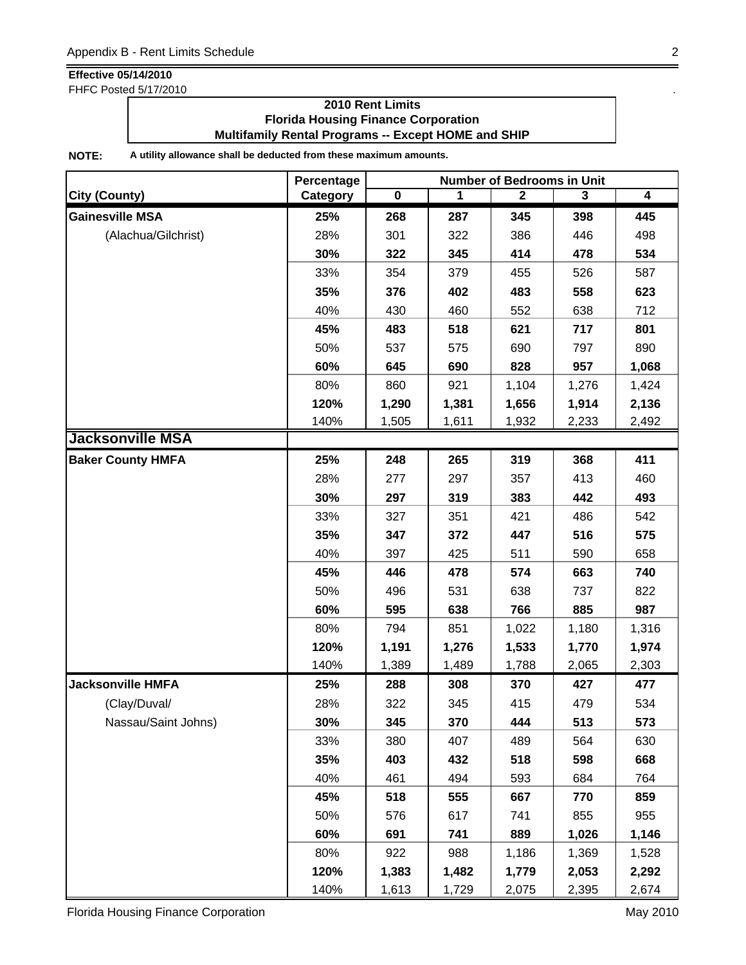FHFC Posted 5/17/2010 .

### **2010 Rent Limits Florida Housing Finance Corporation Multifamily Rental Programs -- Except HOME and SHIP**

|                          | Percentage | <b>Number of Bedrooms in Unit</b> |       |              |       |                |  |
|--------------------------|------------|-----------------------------------|-------|--------------|-------|----------------|--|
| <b>City (County)</b>     | Category   | $\mathbf 0$                       | 1     | $\mathbf{2}$ | 3     | $\overline{4}$ |  |
| <b>Gainesville MSA</b>   | 25%        | 268                               | 287   | 345          | 398   | 445            |  |
| (Alachua/Gilchrist)      | 28%        | 301                               | 322   | 386          | 446   | 498            |  |
|                          | 30%        | 322                               | 345   | 414          | 478   | 534            |  |
|                          | 33%        | 354                               | 379   | 455          | 526   | 587            |  |
|                          | 35%        | 376                               | 402   | 483          | 558   | 623            |  |
|                          | 40%        | 430                               | 460   | 552          | 638   | 712            |  |
|                          | 45%        | 483                               | 518   | 621          | 717   | 801            |  |
|                          | 50%        | 537                               | 575   | 690          | 797   | 890            |  |
|                          | 60%        | 645                               | 690   | 828          | 957   | 1,068          |  |
|                          | 80%        | 860                               | 921   | 1,104        | 1,276 | 1,424          |  |
|                          | 120%       | 1,290                             | 1,381 | 1,656        | 1,914 | 2,136          |  |
|                          | 140%       | 1,505                             | 1,611 | 1,932        | 2,233 | 2,492          |  |
| <b>Jacksonville MSA</b>  |            |                                   |       |              |       |                |  |
| <b>Baker County HMFA</b> | 25%        | 248                               | 265   | 319          | 368   | 411            |  |
|                          | 28%        | 277                               | 297   | 357          | 413   | 460            |  |
|                          | 30%        | 297                               | 319   | 383          | 442   | 493            |  |
|                          | 33%        | 327                               | 351   | 421          | 486   | 542            |  |
|                          | 35%        | 347                               | 372   | 447          | 516   | 575            |  |
|                          | 40%        | 397                               | 425   | 511          | 590   | 658            |  |
|                          | 45%        | 446                               | 478   | 574          | 663   | 740            |  |
|                          | 50%        | 496                               | 531   | 638          | 737   | 822            |  |
|                          | 60%        | 595                               | 638   | 766          | 885   | 987            |  |
|                          | 80%        | 794                               | 851   | 1,022        | 1,180 | 1,316          |  |
|                          | 120%       | 1,191                             | 1,276 | 1,533        | 1,770 | 1,974          |  |
|                          | 140%       | 1,389                             | 1,489 | 1,788        | 2,065 | 2,303          |  |
| <b>Jacksonville HMFA</b> | 25%        | 288                               | 308   | 370          | 427   | 477            |  |
| (Clay/Duval/             | 28%        | 322                               | 345   | 415          | 479   | 534            |  |
| Nassau/Saint Johns)      | 30%        | 345                               | 370   | 444          | 513   | 573            |  |
|                          | 33%        | 380                               | 407   | 489          | 564   | 630            |  |
|                          | 35%        | 403                               | 432   | 518          | 598   | 668            |  |
|                          | 40%        | 461                               | 494   | 593          | 684   | 764            |  |
|                          | 45%        | 518                               | 555   | 667          | 770   | 859            |  |
|                          | 50%        | 576                               | 617   | 741          | 855   | 955            |  |
|                          | 60%        | 691                               | 741   | 889          | 1,026 | 1,146          |  |
|                          | 80%        | 922                               | 988   | 1,186        | 1,369 | 1,528          |  |
|                          | 120%       | 1,383                             | 1,482 | 1,779        | 2,053 | 2,292          |  |
|                          | 140%       | 1,613                             | 1,729 | 2,075        | 2,395 | 2,674          |  |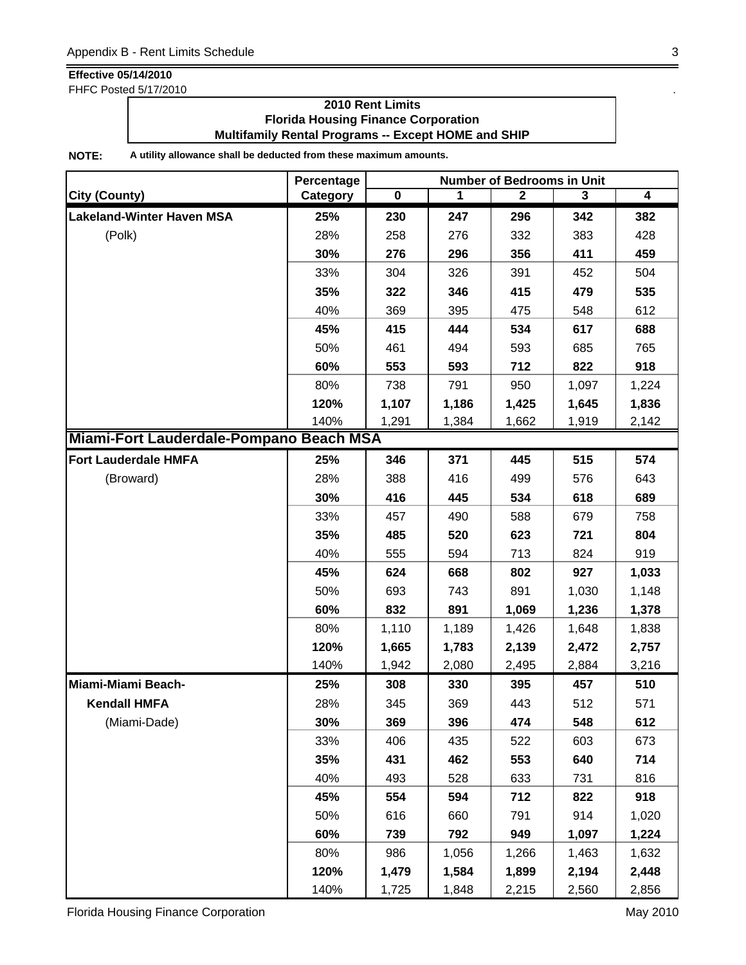FHFC Posted 5/17/2010 .

### **2010 Rent Limits Florida Housing Finance Corporation Multifamily Rental Programs -- Except HOME and SHIP**

|                                         | Percentage | <b>Number of Bedrooms in Unit</b> |       |              |       |                         |  |
|-----------------------------------------|------------|-----------------------------------|-------|--------------|-------|-------------------------|--|
| <b>City (County)</b>                    | Category   | $\mathbf 0$                       | 1     | $\mathbf{2}$ | 3     | $\overline{\mathbf{4}}$ |  |
| <b>Lakeland-Winter Haven MSA</b>        | 25%        | 230                               | 247   | 296          | 342   | 382                     |  |
| (Polk)                                  | 28%        | 258                               | 276   | 332          | 383   | 428                     |  |
|                                         | 30%        | 276                               | 296   | 356          | 411   | 459                     |  |
|                                         | 33%        | 304                               | 326   | 391          | 452   | 504                     |  |
|                                         | 35%        | 322                               | 346   | 415          | 479   | 535                     |  |
|                                         | 40%        | 369                               | 395   | 475          | 548   | 612                     |  |
|                                         | 45%        | 415                               | 444   | 534          | 617   | 688                     |  |
|                                         | 50%        | 461                               | 494   | 593          | 685   | 765                     |  |
|                                         | 60%        | 553                               | 593   | 712          | 822   | 918                     |  |
|                                         | 80%        | 738                               | 791   | 950          | 1,097 | 1,224                   |  |
|                                         | 120%       | 1,107                             | 1,186 | 1,425        | 1,645 | 1,836                   |  |
|                                         | 140%       | 1,291                             | 1,384 | 1,662        | 1,919 | 2,142                   |  |
| Miami-Fort Lauderdale-Pompano Beach MSA |            |                                   |       |              |       |                         |  |
| <b>Fort Lauderdale HMFA</b>             | 25%        | 346                               | 371   | 445          | 515   | 574                     |  |
| (Broward)                               | 28%        | 388                               | 416   | 499          | 576   | 643                     |  |
|                                         | 30%        | 416                               | 445   | 534          | 618   | 689                     |  |
|                                         | 33%        | 457                               | 490   | 588          | 679   | 758                     |  |
|                                         | 35%        | 485                               | 520   | 623          | 721   | 804                     |  |
|                                         | 40%        | 555                               | 594   | 713          | 824   | 919                     |  |
|                                         | 45%        | 624                               | 668   | 802          | 927   | 1,033                   |  |
|                                         | 50%        | 693                               | 743   | 891          | 1,030 | 1,148                   |  |
|                                         | 60%        | 832                               | 891   | 1,069        | 1,236 | 1,378                   |  |
|                                         | 80%        | 1,110                             | 1,189 | 1,426        | 1,648 | 1,838                   |  |
|                                         | 120%       | 1,665                             | 1,783 | 2,139        | 2,472 | 2,757                   |  |
|                                         | 140%       | 1,942                             | 2,080 | 2,495        | 2,884 | 3,216                   |  |
| Miami-Miami Beach-                      | 25%        | 308                               | 330   | 395          | 457   | 510                     |  |
| <b>Kendall HMFA</b>                     | 28%        | 345                               | 369   | 443          | 512   | 571                     |  |
| (Miami-Dade)                            | 30%        | 369                               | 396   | 474          | 548   | 612                     |  |
|                                         | 33%        | 406                               | 435   | 522          | 603   | 673                     |  |
|                                         | 35%        | 431                               | 462   | 553          | 640   | 714                     |  |
|                                         | 40%        | 493                               | 528   | 633          | 731   | 816                     |  |
|                                         | 45%        | 554                               | 594   | 712          | 822   | 918                     |  |
|                                         | 50%        | 616                               | 660   | 791          | 914   | 1,020                   |  |
|                                         | 60%        | 739                               | 792   | 949          | 1,097 | 1,224                   |  |
|                                         | 80%        | 986                               | 1,056 | 1,266        | 1,463 | 1,632                   |  |
|                                         | 120%       | 1,479                             | 1,584 | 1,899        | 2,194 | 2,448                   |  |
|                                         | 140%       | 1,725                             | 1,848 | 2,215        | 2,560 | 2,856                   |  |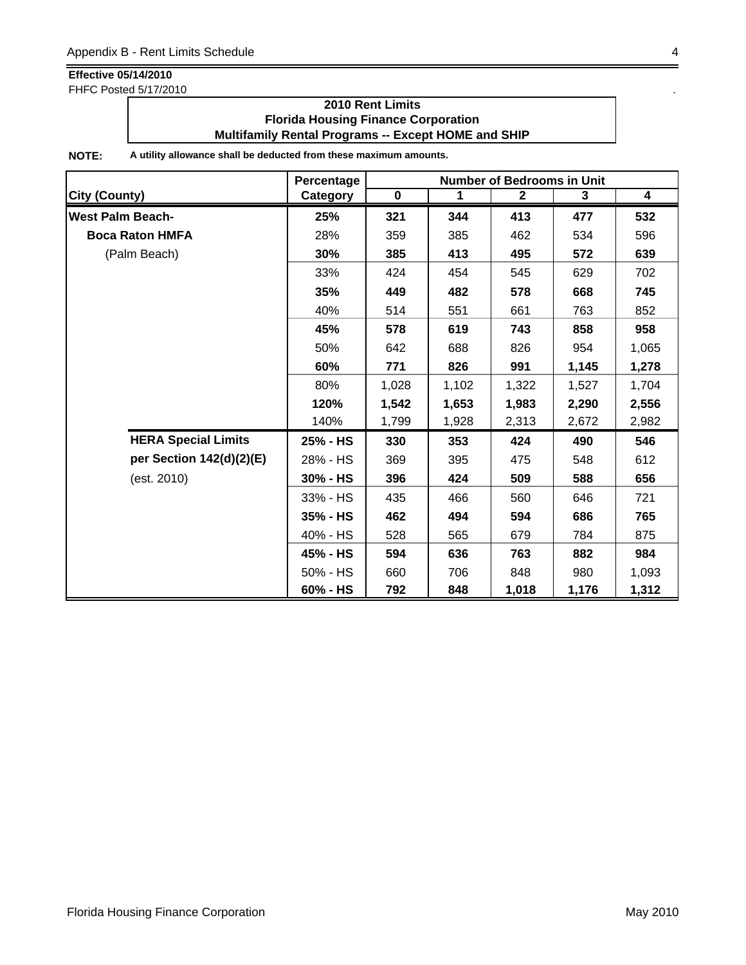FHFC Posted 5/17/2010 .

### **2010 Rent Limits Florida Housing Finance Corporation Multifamily Rental Programs -- Except HOME and SHIP**

|                            | Percentage | <b>Number of Bedrooms in Unit</b> |             |                |       |                  |  |
|----------------------------|------------|-----------------------------------|-------------|----------------|-------|------------------|--|
| <b>City (County)</b>       | Category   | $\pmb{0}$                         | $\mathbf 1$ | $\overline{2}$ | 3     | $\boldsymbol{4}$ |  |
| <b>West Palm Beach-</b>    | 25%        | 321                               | 344         | 413            | 477   | 532              |  |
| <b>Boca Raton HMFA</b>     | 28%        | 359                               | 385         | 462            | 534   | 596              |  |
| (Palm Beach)               | 30%        | 385                               | 413         | 495            | 572   | 639              |  |
|                            | 33%        | 424                               | 454         | 545            | 629   | 702              |  |
|                            | 35%        | 449                               | 482         | 578            | 668   | 745              |  |
|                            | 40%        | 514                               | 551         | 661            | 763   | 852              |  |
|                            | 45%        | 578                               | 619         | 743            | 858   | 958              |  |
|                            | 50%        | 642                               | 688         | 826            | 954   | 1,065            |  |
|                            | 60%        | 771                               | 826         | 991            | 1,145 | 1,278            |  |
|                            | 80%        | 1,028                             | 1,102       | 1,322          | 1,527 | 1,704            |  |
|                            | 120%       | 1,542                             | 1,653       | 1,983          | 2,290 | 2,556            |  |
|                            | 140%       | 1,799                             | 1,928       | 2,313          | 2,672 | 2,982            |  |
| <b>HERA Special Limits</b> | 25% - HS   | 330                               | 353         | 424            | 490   | 546              |  |
| per Section 142(d)(2)(E)   | 28% - HS   | 369                               | 395         | 475            | 548   | 612              |  |
| (est. 2010)                | 30% - HS   | 396                               | 424         | 509            | 588   | 656              |  |
|                            | 33% - HS   | 435                               | 466         | 560            | 646   | 721              |  |
|                            | 35% - HS   | 462                               | 494         | 594            | 686   | 765              |  |
|                            | 40% - HS   | 528                               | 565         | 679            | 784   | 875              |  |
|                            | 45% - HS   | 594                               | 636         | 763            | 882   | 984              |  |
|                            | 50% - HS   | 660                               | 706         | 848            | 980   | 1,093            |  |
|                            | 60% - HS   | 792                               | 848         | 1,018          | 1,176 | 1,312            |  |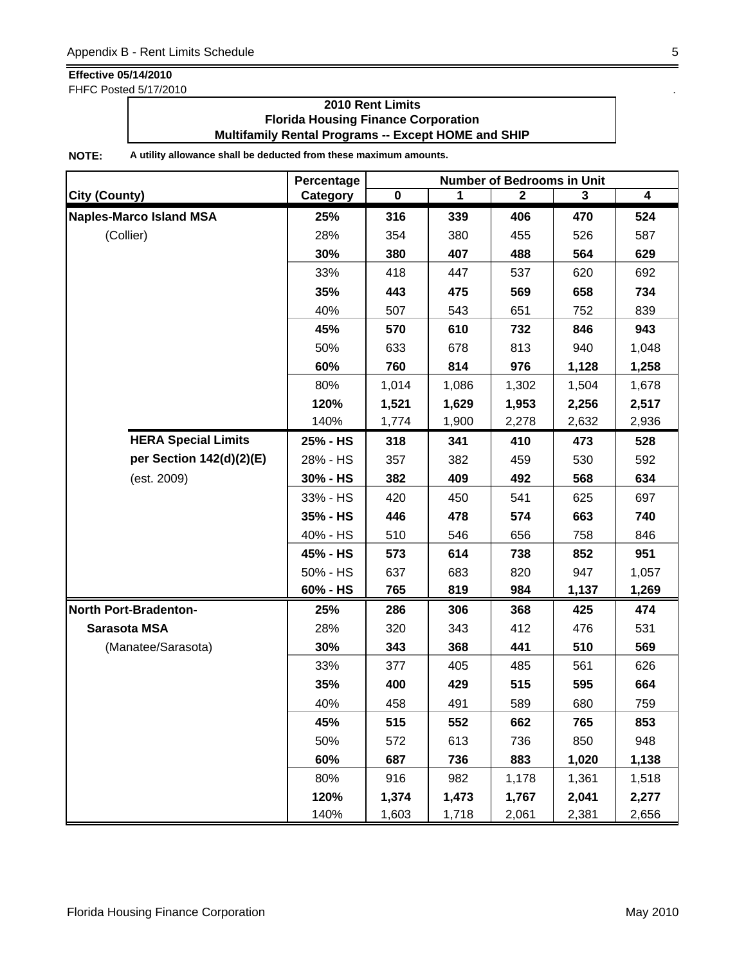FHFC Posted 5/17/2010 .

### **2010 Rent Limits Florida Housing Finance Corporation Multifamily Rental Programs -- Except HOME and SHIP**

|                                | Percentage | <b>Number of Bedrooms in Unit</b> |       |              |       |                |
|--------------------------------|------------|-----------------------------------|-------|--------------|-------|----------------|
| City (County)                  | Category   | $\overline{\mathbf{0}}$           | 1     | $\mathbf{2}$ | 3     | $\overline{4}$ |
| <b>Naples-Marco Island MSA</b> | 25%        | 316                               | 339   | 406          | 470   | 524            |
| (Collier)                      | 28%        | 354                               | 380   | 455          | 526   | 587            |
|                                | 30%        | 380                               | 407   | 488          | 564   | 629            |
|                                | 33%        | 418                               | 447   | 537          | 620   | 692            |
|                                | 35%        | 443                               | 475   | 569          | 658   | 734            |
|                                | 40%        | 507                               | 543   | 651          | 752   | 839            |
|                                | 45%        | 570                               | 610   | 732          | 846   | 943            |
|                                | 50%        | 633                               | 678   | 813          | 940   | 1,048          |
|                                | 60%        | 760                               | 814   | 976          | 1,128 | 1,258          |
|                                | 80%        | 1,014                             | 1,086 | 1,302        | 1,504 | 1,678          |
|                                | 120%       | 1,521                             | 1,629 | 1,953        | 2,256 | 2,517          |
|                                | 140%       | 1,774                             | 1,900 | 2,278        | 2,632 | 2,936          |
| <b>HERA Special Limits</b>     | 25% - HS   | 318                               | 341   | 410          | 473   | 528            |
| per Section 142(d)(2)(E)       | 28% - HS   | 357                               | 382   | 459          | 530   | 592            |
| (est. 2009)                    | 30% - HS   | 382                               | 409   | 492          | 568   | 634            |
|                                | 33% - HS   | 420                               | 450   | 541          | 625   | 697            |
|                                | 35% - HS   | 446                               | 478   | 574          | 663   | 740            |
|                                | 40% - HS   | 510                               | 546   | 656          | 758   | 846            |
|                                | 45% - HS   | 573                               | 614   | 738          | 852   | 951            |
|                                | 50% - HS   | 637                               | 683   | 820          | 947   | 1,057          |
|                                | 60% - HS   | 765                               | 819   | 984          | 1,137 | 1,269          |
| <b>North Port-Bradenton-</b>   | 25%        | 286                               | 306   | 368          | 425   | 474            |
| Sarasota MSA                   | 28%        | 320                               | 343   | 412          | 476   | 531            |
| (Manatee/Sarasota)             | 30%        | 343                               | 368   | 441          | 510   | 569            |
|                                | 33%        | 377                               | 405   | 485          | 561   | 626            |
|                                | 35%        | 400                               | 429   | 515          | 595   | 664            |
|                                | 40%        | 458                               | 491   | 589          | 680   | 759            |
|                                | 45%        | 515                               | 552   | 662          | 765   | 853            |
|                                | 50%        | 572                               | 613   | 736          | 850   | 948            |
|                                | 60%        | 687                               | 736   | 883          | 1,020 | 1,138          |
|                                | 80%        | 916                               | 982   | 1,178        | 1,361 | 1,518          |
|                                | 120%       | 1,374                             | 1,473 | 1,767        | 2,041 | 2,277          |
|                                | 140%       | 1,603                             | 1,718 | 2,061        | 2,381 | 2,656          |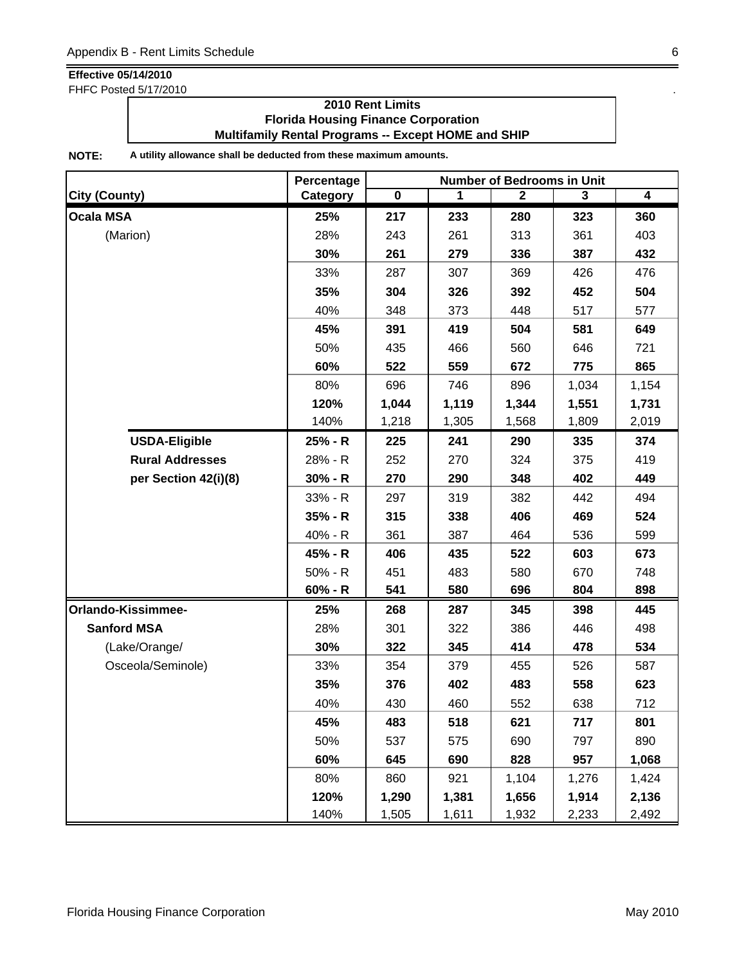FHFC Posted 5/17/2010 .

### **2010 Rent Limits Florida Housing Finance Corporation Multifamily Rental Programs -- Except HOME and SHIP**

|                        | Percentage | <b>Number of Bedrooms in Unit</b> |       |              |       |                |  |
|------------------------|------------|-----------------------------------|-------|--------------|-------|----------------|--|
| <b>City (County)</b>   | Category   | $\overline{\mathbf{0}}$           | 1     | $\mathbf{2}$ | 3     | $\overline{4}$ |  |
| <b>Ocala MSA</b>       | 25%        | 217                               | 233   | 280          | 323   | 360            |  |
| (Marion)               | 28%        | 243                               | 261   | 313          | 361   | 403            |  |
|                        | 30%        | 261                               | 279   | 336          | 387   | 432            |  |
|                        | 33%        | 287                               | 307   | 369          | 426   | 476            |  |
|                        | 35%        | 304                               | 326   | 392          | 452   | 504            |  |
|                        | 40%        | 348                               | 373   | 448          | 517   | 577            |  |
|                        | 45%        | 391                               | 419   | 504          | 581   | 649            |  |
|                        | 50%        | 435                               | 466   | 560          | 646   | 721            |  |
|                        | 60%        | 522                               | 559   | 672          | 775   | 865            |  |
|                        | 80%        | 696                               | 746   | 896          | 1,034 | 1,154          |  |
|                        | 120%       | 1,044                             | 1,119 | 1,344        | 1,551 | 1,731          |  |
|                        | 140%       | 1,218                             | 1,305 | 1,568        | 1,809 | 2,019          |  |
| <b>USDA-Eligible</b>   | $25% - R$  | 225                               | 241   | 290          | 335   | 374            |  |
| <b>Rural Addresses</b> | 28% - R    | 252                               | 270   | 324          | 375   | 419            |  |
| per Section 42(i)(8)   | $30% - R$  | 270                               | 290   | 348          | 402   | 449            |  |
|                        | $33% - R$  | 297                               | 319   | 382          | 442   | 494            |  |
|                        | 35% - R    | 315                               | 338   | 406          | 469   | 524            |  |
|                        | 40% - R    | 361                               | 387   | 464          | 536   | 599            |  |
|                        | 45% - R    | 406                               | 435   | 522          | 603   | 673            |  |
|                        | $50% - R$  | 451                               | 483   | 580          | 670   | 748            |  |
|                        | $60% - R$  | 541                               | 580   | 696          | 804   | 898            |  |
| Orlando-Kissimmee-     | 25%        | 268                               | 287   | 345          | 398   | 445            |  |
| <b>Sanford MSA</b>     | 28%        | 301                               | 322   | 386          | 446   | 498            |  |
| (Lake/Orange/          | 30%        | 322                               | 345   | 414          | 478   | 534            |  |
| Osceola/Seminole)      | 33%        | 354                               | 379   | 455          | 526   | 587            |  |
|                        | 35%        | 376                               | 402   | 483          | 558   | 623            |  |
|                        | 40%        | 430                               | 460   | 552          | 638   | 712            |  |
|                        | 45%        | 483                               | 518   | 621          | 717   | 801            |  |
|                        | 50%        | 537                               | 575   | 690          | 797   | 890            |  |
|                        | 60%        | 645                               | 690   | 828          | 957   | 1,068          |  |
|                        | 80%        | 860                               | 921   | 1,104        | 1,276 | 1,424          |  |
|                        | 120%       | 1,290                             | 1,381 | 1,656        | 1,914 | 2,136          |  |
|                        | 140%       | 1,505                             | 1,611 | 1,932        | 2,233 | 2,492          |  |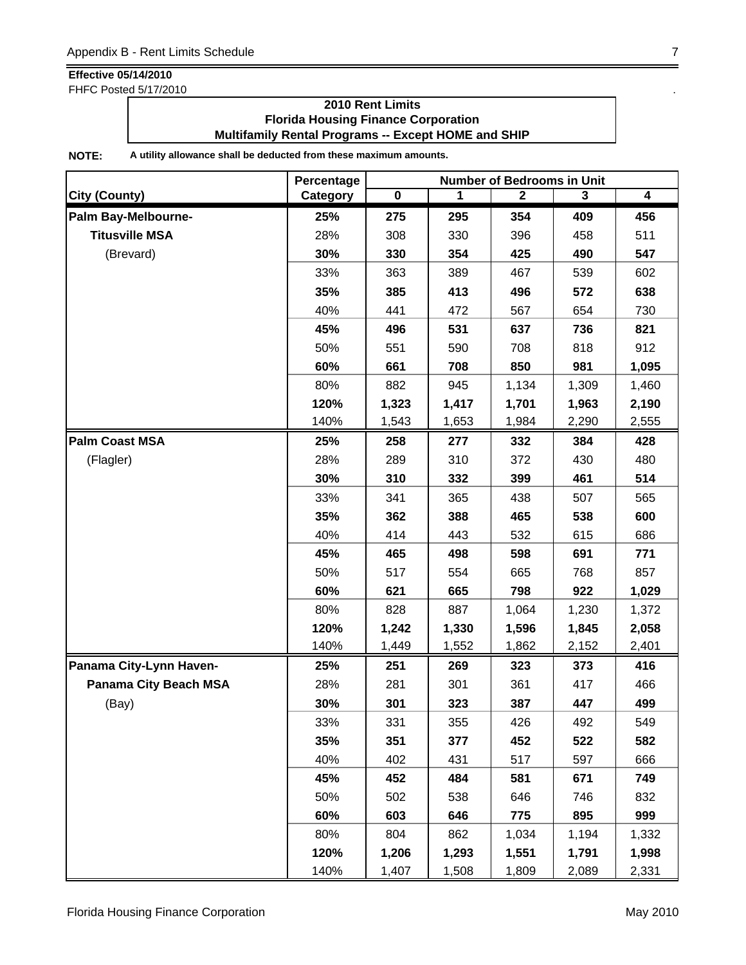FHFC Posted 5/17/2010 .

### **2010 Rent Limits Florida Housing Finance Corporation Multifamily Rental Programs -- Except HOME and SHIP**

|                              | Percentage | <b>Number of Bedrooms in Unit</b> |       |              |       |                         |
|------------------------------|------------|-----------------------------------|-------|--------------|-------|-------------------------|
| <b>City (County)</b>         | Category   | $\overline{\mathbf{0}}$           | 1     | $\mathbf{2}$ | 3     | $\overline{\mathbf{4}}$ |
| Palm Bay-Melbourne-          | 25%        | 275                               | 295   | 354          | 409   | 456                     |
| <b>Titusville MSA</b>        | 28%        | 308                               | 330   | 396          | 458   | 511                     |
| (Brevard)                    | 30%        | 330                               | 354   | 425          | 490   | 547                     |
|                              | 33%        | 363                               | 389   | 467          | 539   | 602                     |
|                              | 35%        | 385                               | 413   | 496          | 572   | 638                     |
|                              | 40%        | 441                               | 472   | 567          | 654   | 730                     |
|                              | 45%        | 496                               | 531   | 637          | 736   | 821                     |
|                              | 50%        | 551                               | 590   | 708          | 818   | 912                     |
|                              | 60%        | 661                               | 708   | 850          | 981   | 1,095                   |
|                              | 80%        | 882                               | 945   | 1,134        | 1,309 | 1,460                   |
|                              | 120%       | 1,323                             | 1,417 | 1,701        | 1,963 | 2,190                   |
|                              | 140%       | 1,543                             | 1,653 | 1,984        | 2,290 | 2,555                   |
| <b>Palm Coast MSA</b>        | 25%        | 258                               | 277   | 332          | 384   | 428                     |
| (Flagler)                    | 28%        | 289                               | 310   | 372          | 430   | 480                     |
|                              | 30%        | 310                               | 332   | 399          | 461   | 514                     |
|                              | 33%        | 341                               | 365   | 438          | 507   | 565                     |
|                              | 35%        | 362                               | 388   | 465          | 538   | 600                     |
|                              | 40%        | 414                               | 443   | 532          | 615   | 686                     |
|                              | 45%        | 465                               | 498   | 598          | 691   | 771                     |
|                              | 50%        | 517                               | 554   | 665          | 768   | 857                     |
|                              | 60%        | 621                               | 665   | 798          | 922   | 1,029                   |
|                              | 80%        | 828                               | 887   | 1,064        | 1,230 | 1,372                   |
|                              | 120%       | 1,242                             | 1,330 | 1,596        | 1,845 | 2,058                   |
|                              | 140%       | 1,449                             | 1,552 | 1,862        | 2,152 | 2,401                   |
| Panama City-Lynn Haven-      | 25%        | 251                               | 269   | 323          | 373   | 416                     |
| <b>Panama City Beach MSA</b> | 28%        | 281                               | 301   | 361          | 417   | 466                     |
| (Bay)                        | 30%        | 301                               | 323   | 387          | 447   | 499                     |
|                              | 33%        | 331                               | 355   | 426          | 492   | 549                     |
|                              | 35%        | 351                               | 377   | 452          | 522   | 582                     |
|                              | 40%        | 402                               | 431   | 517          | 597   | 666                     |
|                              | 45%        | 452                               | 484   | 581          | 671   | 749                     |
|                              | 50%        | 502                               | 538   | 646          | 746   | 832                     |
|                              | 60%        | 603                               | 646   | 775          | 895   | 999                     |
|                              | 80%        | 804                               | 862   | 1,034        | 1,194 | 1,332                   |
|                              | 120%       | 1,206                             | 1,293 | 1,551        | 1,791 | 1,998                   |
|                              | 140%       | 1,407                             | 1,508 | 1,809        | 2,089 | 2,331                   |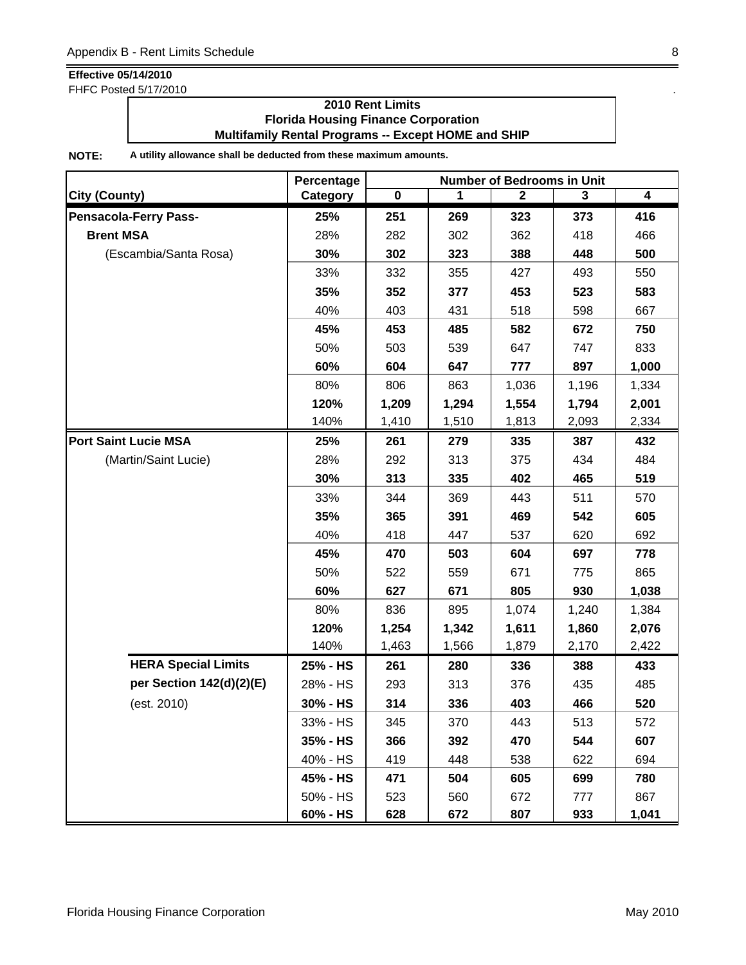FHFC Posted 5/17/2010 .

### **2010 Rent Limits Florida Housing Finance Corporation Multifamily Rental Programs -- Except HOME and SHIP**

|                              | Percentage | <b>Number of Bedrooms in Unit</b> |       |              |                         |       |  |
|------------------------------|------------|-----------------------------------|-------|--------------|-------------------------|-------|--|
| <b>City (County)</b>         | Category   | $\overline{\mathbf{0}}$           | 1     | $\mathbf{2}$ | $\overline{\mathbf{3}}$ | 4     |  |
| <b>Pensacola-Ferry Pass-</b> | 25%        | 251                               | 269   | 323          | 373                     | 416   |  |
| <b>Brent MSA</b>             | 28%        | 282                               | 302   | 362          | 418                     | 466   |  |
| (Escambia/Santa Rosa)        | 30%        | 302                               | 323   | 388          | 448                     | 500   |  |
|                              | 33%        | 332                               | 355   | 427          | 493                     | 550   |  |
|                              | 35%        | 352                               | 377   | 453          | 523                     | 583   |  |
|                              | 40%        | 403                               | 431   | 518          | 598                     | 667   |  |
|                              | 45%        | 453                               | 485   | 582          | 672                     | 750   |  |
|                              | 50%        | 503                               | 539   | 647          | 747                     | 833   |  |
|                              | 60%        | 604                               | 647   | 777          | 897                     | 1,000 |  |
|                              | 80%        | 806                               | 863   | 1,036        | 1,196                   | 1,334 |  |
|                              | 120%       | 1,209                             | 1,294 | 1,554        | 1,794                   | 2,001 |  |
|                              | 140%       | 1,410                             | 1,510 | 1,813        | 2,093                   | 2,334 |  |
| <b>Port Saint Lucie MSA</b>  | 25%        | 261                               | 279   | 335          | 387                     | 432   |  |
| (Martin/Saint Lucie)         | 28%        | 292                               | 313   | 375          | 434                     | 484   |  |
|                              | 30%        | 313                               | 335   | 402          | 465                     | 519   |  |
|                              | 33%        | 344                               | 369   | 443          | 511                     | 570   |  |
|                              | 35%        | 365                               | 391   | 469          | 542                     | 605   |  |
|                              | 40%        | 418                               | 447   | 537          | 620                     | 692   |  |
|                              | 45%        | 470                               | 503   | 604          | 697                     | 778   |  |
|                              | 50%        | 522                               | 559   | 671          | 775                     | 865   |  |
|                              | 60%        | 627                               | 671   | 805          | 930                     | 1,038 |  |
|                              | 80%        | 836                               | 895   | 1,074        | 1,240                   | 1,384 |  |
|                              | 120%       | 1,254                             | 1,342 | 1,611        | 1,860                   | 2,076 |  |
|                              | 140%       | 1,463                             | 1,566 | 1,879        | 2,170                   | 2,422 |  |
| <b>HERA Special Limits</b>   | 25% - HS   | 261                               | 280   | 336          | 388                     | 433   |  |
| per Section 142(d)(2)(E)     | 28% - HS   | 293                               | 313   | 376          | 435                     | 485   |  |
| (est. 2010)                  | 30% - HS   | 314                               | 336   | 403          | 466                     | 520   |  |
|                              | 33% - HS   | 345                               | 370   | 443          | 513                     | 572   |  |
|                              | 35% - HS   | 366                               | 392   | 470          | 544                     | 607   |  |
|                              | 40% - HS   | 419                               | 448   | 538          | 622                     | 694   |  |
|                              | 45% - HS   | 471                               | 504   | 605          | 699                     | 780   |  |
|                              | 50% - HS   | 523                               | 560   | 672          | 777                     | 867   |  |
|                              | 60% - HS   | 628                               | 672   | 807          | 933                     | 1,041 |  |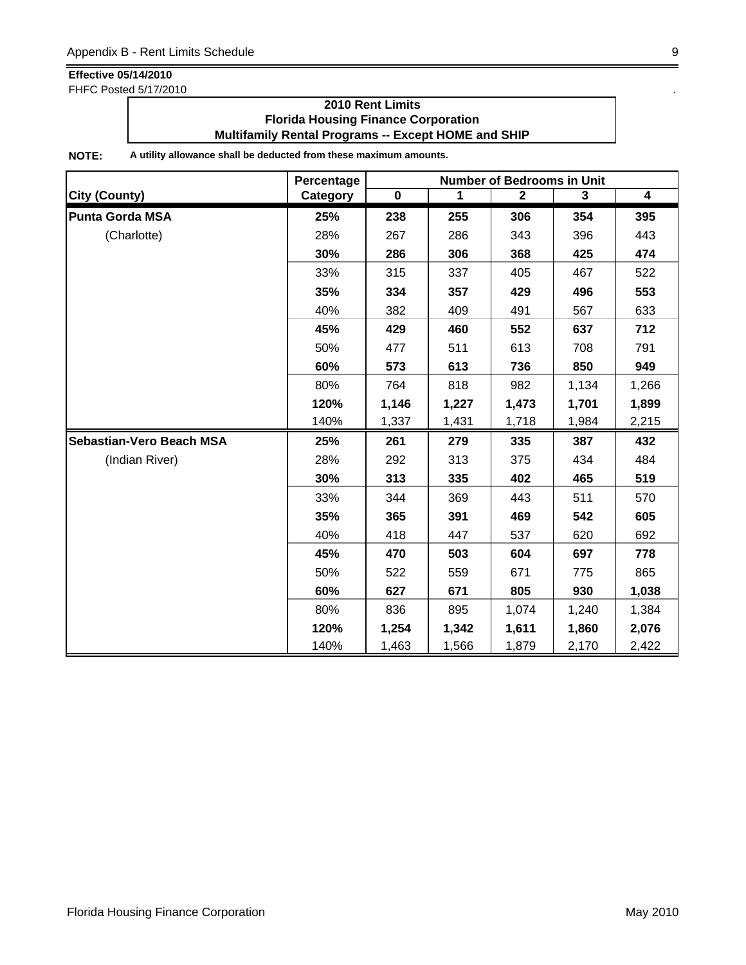FHFC Posted 5/17/2010 .

### **2010 Rent Limits Florida Housing Finance Corporation Multifamily Rental Programs -- Except HOME and SHIP**

|                                 | Percentage | <b>Number of Bedrooms in Unit</b> |       |              |       |                         |  |
|---------------------------------|------------|-----------------------------------|-------|--------------|-------|-------------------------|--|
| <b>City (County)</b>            | Category   | $\mathbf 0$                       | 1     | $\mathbf{2}$ | 3     | $\overline{\mathbf{4}}$ |  |
| <b>Punta Gorda MSA</b>          | 25%        | 238                               | 255   | 306          | 354   | 395                     |  |
| (Charlotte)                     | 28%        | 267                               | 286   | 343          | 396   | 443                     |  |
|                                 | 30%        | 286                               | 306   | 368          | 425   | 474                     |  |
|                                 | 33%        | 315                               | 337   | 405          | 467   | 522                     |  |
|                                 | 35%        | 334                               | 357   | 429          | 496   | 553                     |  |
|                                 | 40%        | 382                               | 409   | 491          | 567   | 633                     |  |
|                                 | 45%        | 429                               | 460   | 552          | 637   | 712                     |  |
|                                 | 50%        | 477                               | 511   | 613          | 708   | 791                     |  |
|                                 | 60%        | 573                               | 613   | 736          | 850   | 949                     |  |
|                                 | 80%        | 764                               | 818   | 982          | 1,134 | 1,266                   |  |
|                                 | 120%       | 1,146                             | 1,227 | 1,473        | 1,701 | 1,899                   |  |
|                                 | 140%       | 1,337                             | 1,431 | 1,718        | 1,984 | 2,215                   |  |
| <b>Sebastian-Vero Beach MSA</b> | 25%        | 261                               | 279   | 335          | 387   | 432                     |  |
| (Indian River)                  | 28%        | 292                               | 313   | 375          | 434   | 484                     |  |
|                                 | 30%        | 313                               | 335   | 402          | 465   | 519                     |  |
|                                 | 33%        | 344                               | 369   | 443          | 511   | 570                     |  |
|                                 | 35%        | 365                               | 391   | 469          | 542   | 605                     |  |
|                                 | 40%        | 418                               | 447   | 537          | 620   | 692                     |  |
|                                 | 45%        | 470                               | 503   | 604          | 697   | 778                     |  |
|                                 | 50%        | 522                               | 559   | 671          | 775   | 865                     |  |
|                                 | 60%        | 627                               | 671   | 805          | 930   | 1,038                   |  |
|                                 | 80%        | 836                               | 895   | 1,074        | 1,240 | 1,384                   |  |
|                                 | 120%       | 1,254                             | 1,342 | 1,611        | 1,860 | 2,076                   |  |
|                                 | 140%       | 1,463                             | 1,566 | 1,879        | 2,170 | 2,422                   |  |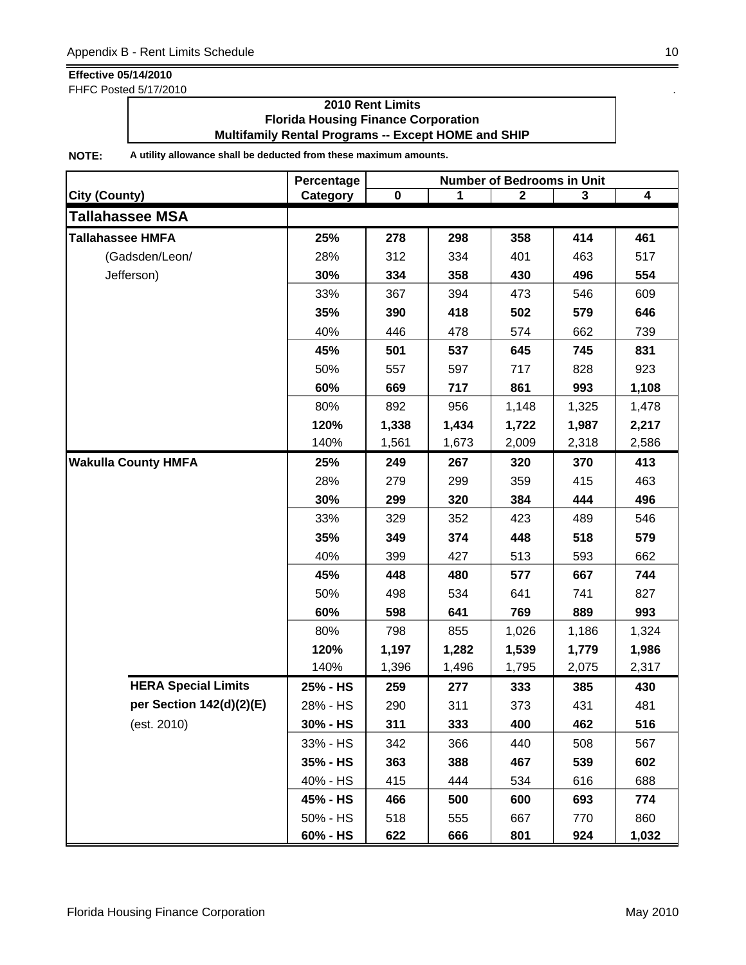FHFC Posted 5/17/2010 .

### **2010 Rent Limits Florida Housing Finance Corporation Multifamily Rental Programs -- Except HOME and SHIP**

|                            | Percentage | <b>Number of Bedrooms in Unit</b> |       |             |       |       |  |
|----------------------------|------------|-----------------------------------|-------|-------------|-------|-------|--|
| <b>City (County)</b>       | Category   | $\pmb{0}$                         | 1     | $\mathbf 2$ | 3     | 4     |  |
| <b>Tallahassee MSA</b>     |            |                                   |       |             |       |       |  |
| <b>Tallahassee HMFA</b>    | 25%        | 278                               | 298   | 358         | 414   | 461   |  |
| (Gadsden/Leon/             | 28%        | 312                               | 334   | 401         | 463   | 517   |  |
| Jefferson)                 | 30%        | 334                               | 358   | 430         | 496   | 554   |  |
|                            | 33%        | 367                               | 394   | 473         | 546   | 609   |  |
|                            | 35%        | 390                               | 418   | 502         | 579   | 646   |  |
|                            | 40%        | 446                               | 478   | 574         | 662   | 739   |  |
|                            | 45%        | 501                               | 537   | 645         | 745   | 831   |  |
|                            | 50%        | 557                               | 597   | 717         | 828   | 923   |  |
|                            | 60%        | 669                               | 717   | 861         | 993   | 1,108 |  |
|                            | 80%        | 892                               | 956   | 1,148       | 1,325 | 1,478 |  |
|                            | 120%       | 1,338                             | 1,434 | 1,722       | 1,987 | 2,217 |  |
|                            | 140%       | 1,561                             | 1,673 | 2,009       | 2,318 | 2,586 |  |
| <b>Wakulla County HMFA</b> | 25%        | 249                               | 267   | 320         | 370   | 413   |  |
|                            | 28%        | 279                               | 299   | 359         | 415   | 463   |  |
|                            | 30%        | 299                               | 320   | 384         | 444   | 496   |  |
|                            | 33%        | 329                               | 352   | 423         | 489   | 546   |  |
|                            | 35%        | 349                               | 374   | 448         | 518   | 579   |  |
|                            | 40%        | 399                               | 427   | 513         | 593   | 662   |  |
|                            | 45%        | 448                               | 480   | 577         | 667   | 744   |  |
|                            | 50%        | 498                               | 534   | 641         | 741   | 827   |  |
|                            | 60%        | 598                               | 641   | 769         | 889   | 993   |  |
|                            | 80%        | 798                               | 855   | 1,026       | 1,186 | 1,324 |  |
|                            | 120%       | 1,197                             | 1,282 | 1,539       | 1,779 | 1,986 |  |
|                            | 140%       | 1,396                             | 1,496 | 1,795       | 2,075 | 2,317 |  |
| <b>HERA Special Limits</b> | 25% - HS   | 259                               | 277   | 333         | 385   | 430   |  |
| per Section 142(d)(2)(E)   | 28% - HS   | 290                               | 311   | 373         | 431   | 481   |  |
| (est. 2010)                | 30% - HS   | 311                               | 333   | 400         | 462   | 516   |  |
|                            | 33% - HS   | 342                               | 366   | 440         | 508   | 567   |  |
|                            | 35% - HS   | 363                               | 388   | 467         | 539   | 602   |  |
|                            | 40% - HS   | 415                               | 444   | 534         | 616   | 688   |  |
|                            | 45% - HS   | 466                               | 500   | 600         | 693   | 774   |  |
|                            | 50% - HS   | 518                               | 555   | 667         | 770   | 860   |  |
|                            | 60% - HS   | 622                               | 666   | 801         | 924   | 1,032 |  |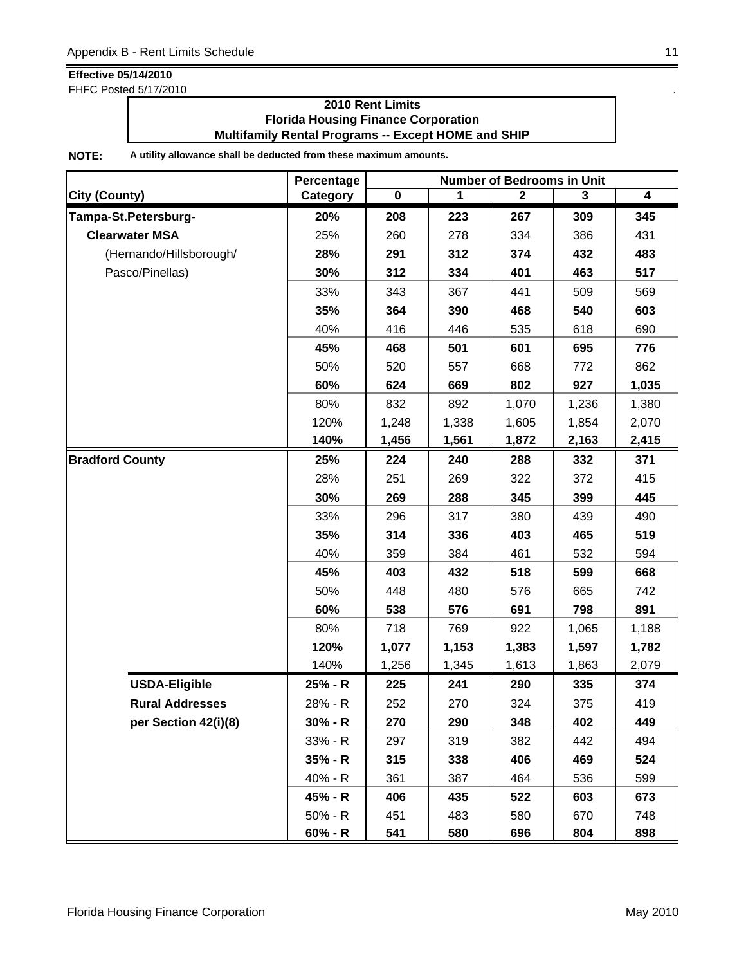FHFC Posted 5/17/2010 .

### **2010 Rent Limits Florida Housing Finance Corporation Multifamily Rental Programs -- Except HOME and SHIP**

|                         | Percentage | <b>Number of Bedrooms in Unit</b> |       |                |                         |       |
|-------------------------|------------|-----------------------------------|-------|----------------|-------------------------|-------|
| <b>City (County)</b>    | Category   | $\overline{\mathbf{0}}$           | 1     | $\overline{2}$ | $\overline{\mathbf{3}}$ | 4     |
| Tampa-St.Petersburg-    | 20%        | 208                               | 223   | 267            | 309                     | 345   |
| <b>Clearwater MSA</b>   | 25%        | 260                               | 278   | 334            | 386                     | 431   |
| (Hernando/Hillsborough/ | 28%        | 291                               | 312   | 374            | 432                     | 483   |
| Pasco/Pinellas)         | 30%        | 312                               | 334   | 401            | 463                     | 517   |
|                         | 33%        | 343                               | 367   | 441            | 509                     | 569   |
|                         | 35%        | 364                               | 390   | 468            | 540                     | 603   |
|                         | 40%        | 416                               | 446   | 535            | 618                     | 690   |
|                         | 45%        | 468                               | 501   | 601            | 695                     | 776   |
|                         | 50%        | 520                               | 557   | 668            | 772                     | 862   |
|                         | 60%        | 624                               | 669   | 802            | 927                     | 1,035 |
|                         | 80%        | 832                               | 892   | 1,070          | 1,236                   | 1,380 |
|                         | 120%       | 1,248                             | 1,338 | 1,605          | 1,854                   | 2,070 |
|                         | 140%       | 1,456                             | 1,561 | 1,872          | 2,163                   | 2,415 |
| <b>Bradford County</b>  | 25%        | 224                               | 240   | 288            | 332                     | 371   |
|                         | 28%        | 251                               | 269   | 322            | 372                     | 415   |
|                         | 30%        | 269                               | 288   | 345            | 399                     | 445   |
|                         | 33%        | 296                               | 317   | 380            | 439                     | 490   |
|                         | 35%        | 314                               | 336   | 403            | 465                     | 519   |
|                         | 40%        | 359                               | 384   | 461            | 532                     | 594   |
|                         | 45%        | 403                               | 432   | 518            | 599                     | 668   |
|                         | 50%        | 448                               | 480   | 576            | 665                     | 742   |
|                         | 60%        | 538                               | 576   | 691            | 798                     | 891   |
|                         | 80%        | 718                               | 769   | 922            | 1,065                   | 1,188 |
|                         | 120%       | 1,077                             | 1,153 | 1,383          | 1,597                   | 1,782 |
|                         | 140%       | 1,256                             | 1,345 | 1,613          | 1,863                   | 2,079 |
| <b>USDA-Eligible</b>    | 25% - R    | 225                               | 241   | 290            | 335                     | 374   |
| <b>Rural Addresses</b>  | 28% - R    | 252                               | 270   | 324            | 375                     | 419   |
| per Section 42(i)(8)    | $30% - R$  | 270                               | 290   | 348            | 402                     | 449   |
|                         | 33% - R    | 297                               | 319   | 382            | 442                     | 494   |
|                         | $35% - R$  | 315                               | 338   | 406            | 469                     | 524   |
|                         | 40% - R    | 361                               | 387   | 464            | 536                     | 599   |
|                         | 45% - R    | 406                               | 435   | 522            | 603                     | 673   |
|                         | 50% - R    | 451                               | 483   | 580            | 670                     | 748   |
|                         | $60% - R$  | 541                               | 580   | 696            | 804                     | 898   |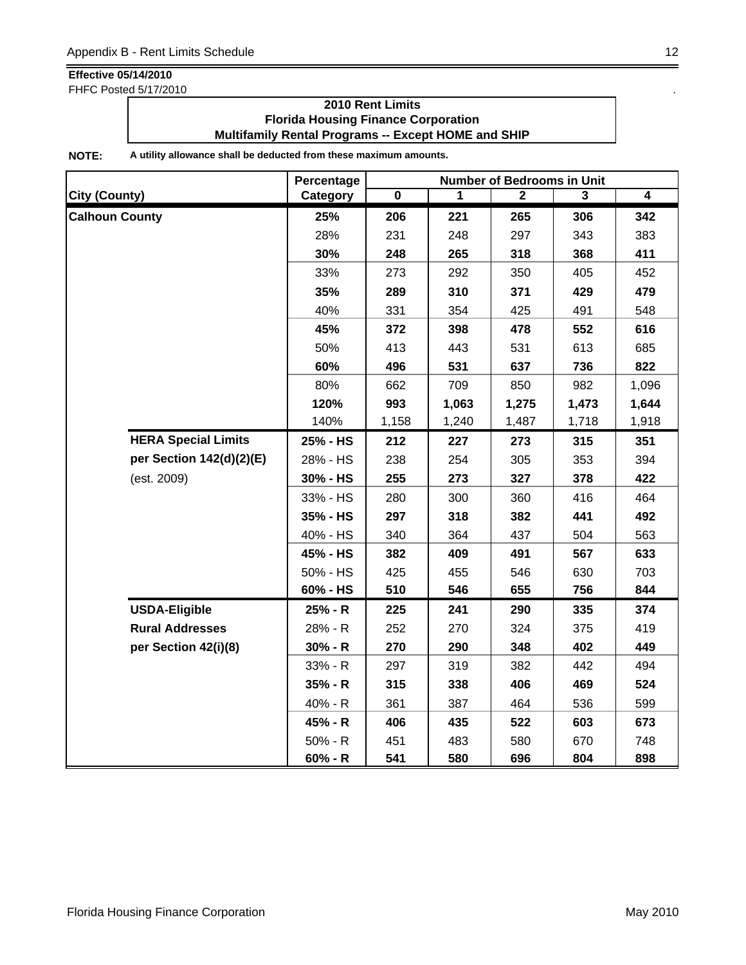FHFC Posted 5/17/2010 .

### **2010 Rent Limits Florida Housing Finance Corporation Multifamily Rental Programs -- Except HOME and SHIP**

|                            | Percentage | <b>Number of Bedrooms in Unit</b> |       |              |       |                |  |
|----------------------------|------------|-----------------------------------|-------|--------------|-------|----------------|--|
| <b>City (County)</b>       | Category   | $\mathbf 0$                       | 1     | $\mathbf{2}$ | 3     | $\overline{4}$ |  |
| <b>Calhoun County</b>      | 25%        | 206                               | 221   | 265          | 306   | 342            |  |
|                            | 28%        | 231                               | 248   | 297          | 343   | 383            |  |
|                            | 30%        | 248                               | 265   | 318          | 368   | 411            |  |
|                            | 33%        | 273                               | 292   | 350          | 405   | 452            |  |
|                            | 35%        | 289                               | 310   | 371          | 429   | 479            |  |
|                            | 40%        | 331                               | 354   | 425          | 491   | 548            |  |
|                            | 45%        | 372                               | 398   | 478          | 552   | 616            |  |
|                            | 50%        | 413                               | 443   | 531          | 613   | 685            |  |
|                            | 60%        | 496                               | 531   | 637          | 736   | 822            |  |
|                            | 80%        | 662                               | 709   | 850          | 982   | 1,096          |  |
|                            | 120%       | 993                               | 1,063 | 1,275        | 1,473 | 1,644          |  |
|                            | 140%       | 1,158                             | 1,240 | 1,487        | 1,718 | 1,918          |  |
| <b>HERA Special Limits</b> | 25% - HS   | 212                               | 227   | 273          | 315   | 351            |  |
| per Section 142(d)(2)(E)   | 28% - HS   | 238                               | 254   | 305          | 353   | 394            |  |
| (est. 2009)                | 30% - HS   | 255                               | 273   | 327          | 378   | 422            |  |
|                            | 33% - HS   | 280                               | 300   | 360          | 416   | 464            |  |
|                            | 35% - HS   | 297                               | 318   | 382          | 441   | 492            |  |
|                            | 40% - HS   | 340                               | 364   | 437          | 504   | 563            |  |
|                            | 45% - HS   | 382                               | 409   | 491          | 567   | 633            |  |
|                            | 50% - HS   | 425                               | 455   | 546          | 630   | 703            |  |
|                            | 60% - HS   | 510                               | 546   | 655          | 756   | 844            |  |
| <b>USDA-Eligible</b>       | 25% - R    | 225                               | 241   | 290          | 335   | 374            |  |
| <b>Rural Addresses</b>     | 28% - R    | 252                               | 270   | 324          | 375   | 419            |  |
| per Section 42(i)(8)       | $30% - R$  | 270                               | 290   | 348          | 402   | 449            |  |
|                            | 33% - R    | 297                               | 319   | 382          | 442   | 494            |  |
|                            | $35% - R$  | 315                               | 338   | 406          | 469   | 524            |  |
|                            | 40% - R    | 361                               | 387   | 464          | 536   | 599            |  |
|                            | 45% - R    | 406                               | 435   | 522          | 603   | 673            |  |
|                            | $50% - R$  | 451                               | 483   | 580          | 670   | 748            |  |
|                            | $60% - R$  | 541                               | 580   | 696          | 804   | 898            |  |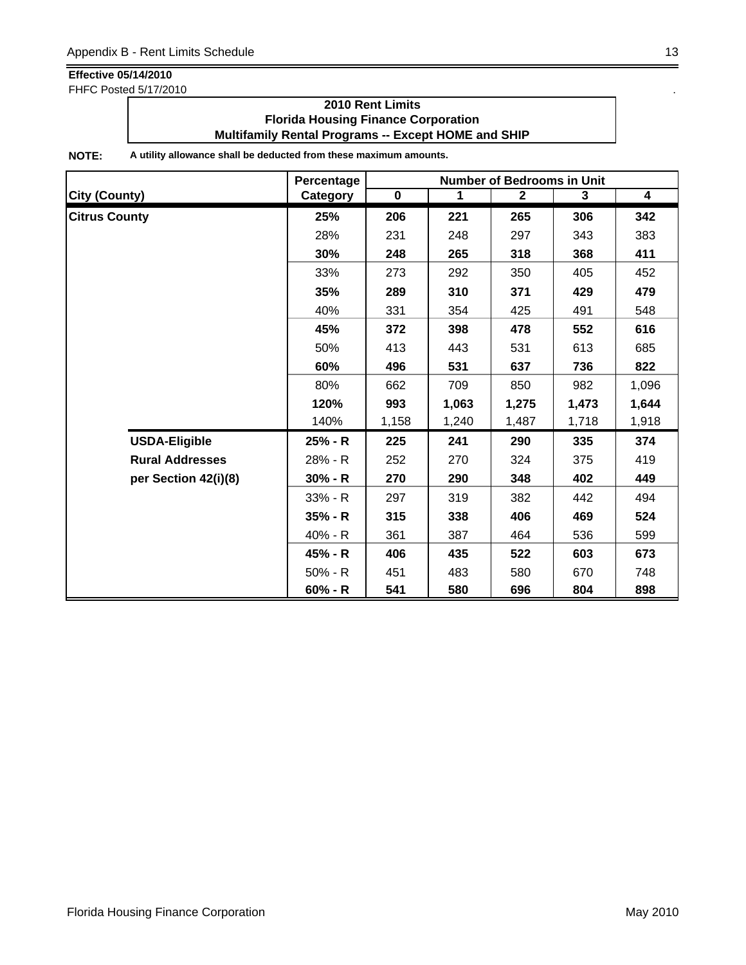FHFC Posted 5/17/2010 .

### **2010 Rent Limits Florida Housing Finance Corporation Multifamily Rental Programs -- Except HOME and SHIP**

|                        | Percentage | <b>Number of Bedrooms in Unit</b> |             |                |       |                         |  |
|------------------------|------------|-----------------------------------|-------------|----------------|-------|-------------------------|--|
| <b>City (County)</b>   | Category   | $\overline{\mathbf{0}}$           | $\mathbf 1$ | $\overline{2}$ | 3     | $\overline{\mathbf{4}}$ |  |
| <b>Citrus County</b>   | 25%        | 206                               | 221         | 265            | 306   | 342                     |  |
|                        | 28%        | 231                               | 248         | 297            | 343   | 383                     |  |
|                        | 30%        | 248                               | 265         | 318            | 368   | 411                     |  |
|                        | 33%        | 273                               | 292         | 350            | 405   | 452                     |  |
|                        | 35%        | 289                               | 310         | 371            | 429   | 479                     |  |
|                        | 40%        | 331                               | 354         | 425            | 491   | 548                     |  |
|                        | 45%        | 372                               | 398         | 478            | 552   | 616                     |  |
|                        | 50%        | 413                               | 443         | 531            | 613   | 685                     |  |
|                        | 60%        | 496                               | 531         | 637            | 736   | 822                     |  |
|                        | 80%        | 662                               | 709         | 850            | 982   | 1,096                   |  |
|                        | 120%       | 993                               | 1,063       | 1,275          | 1,473 | 1,644                   |  |
|                        | 140%       | 1,158                             | 1,240       | 1,487          | 1,718 | 1,918                   |  |
| <b>USDA-Eligible</b>   | 25% - R    | 225                               | 241         | 290            | 335   | 374                     |  |
| <b>Rural Addresses</b> | 28% - R    | 252                               | 270         | 324            | 375   | 419                     |  |
| per Section 42(i)(8)   | $30% - R$  | 270                               | 290         | 348            | 402   | 449                     |  |
|                        | $33% - R$  | 297                               | 319         | 382            | 442   | 494                     |  |
|                        | $35% - R$  | 315                               | 338         | 406            | 469   | 524                     |  |
|                        | 40% - R    | 361                               | 387         | 464            | 536   | 599                     |  |
|                        | 45% - R    | 406                               | 435         | 522            | 603   | 673                     |  |
|                        | $50% - R$  | 451                               | 483         | 580            | 670   | 748                     |  |
|                        | $60% - R$  | 541                               | 580         | 696            | 804   | 898                     |  |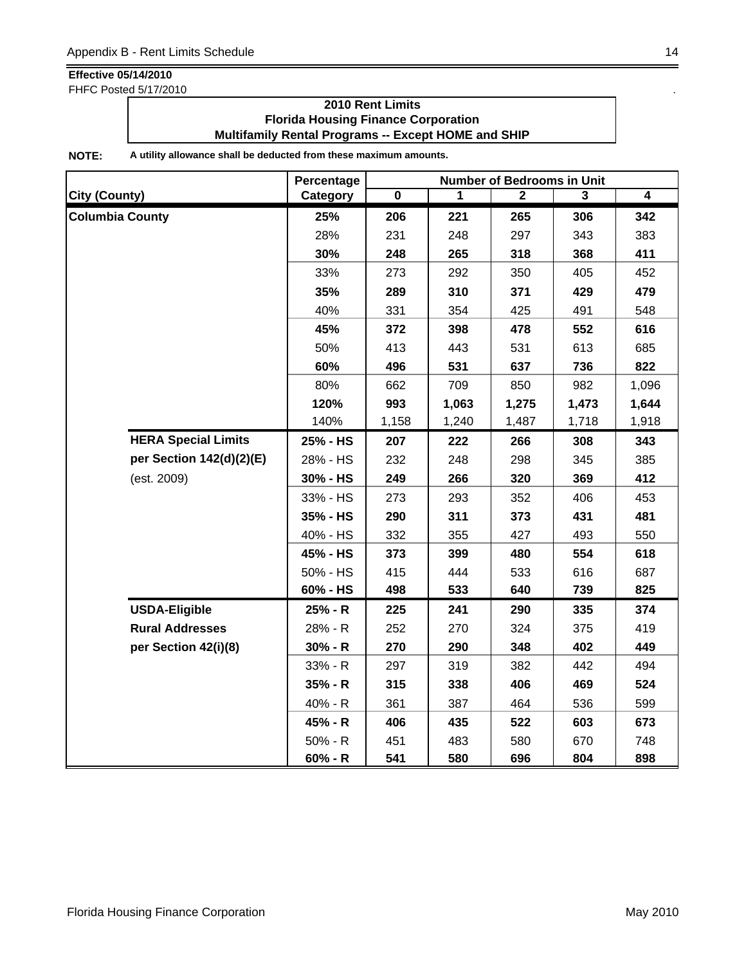FHFC Posted 5/17/2010 .

### **2010 Rent Limits Florida Housing Finance Corporation Multifamily Rental Programs -- Except HOME and SHIP**

|                            | Percentage | <b>Number of Bedrooms in Unit</b> |       |              |       |                         |  |
|----------------------------|------------|-----------------------------------|-------|--------------|-------|-------------------------|--|
| <b>City (County)</b>       | Category   | $\mathbf 0$                       | 1     | $\mathbf{2}$ | 3     | $\overline{\mathbf{4}}$ |  |
| <b>Columbia County</b>     | 25%        | 206                               | 221   | 265          | 306   | 342                     |  |
|                            | 28%        | 231                               | 248   | 297          | 343   | 383                     |  |
|                            | 30%        | 248                               | 265   | 318          | 368   | 411                     |  |
|                            | 33%        | 273                               | 292   | 350          | 405   | 452                     |  |
|                            | 35%        | 289                               | 310   | 371          | 429   | 479                     |  |
|                            | 40%        | 331                               | 354   | 425          | 491   | 548                     |  |
|                            | 45%        | 372                               | 398   | 478          | 552   | 616                     |  |
|                            | 50%        | 413                               | 443   | 531          | 613   | 685                     |  |
|                            | 60%        | 496                               | 531   | 637          | 736   | 822                     |  |
|                            | 80%        | 662                               | 709   | 850          | 982   | 1,096                   |  |
|                            | 120%       | 993                               | 1,063 | 1,275        | 1,473 | 1,644                   |  |
|                            | 140%       | 1,158                             | 1,240 | 1,487        | 1,718 | 1,918                   |  |
| <b>HERA Special Limits</b> | 25% - HS   | 207                               | 222   | 266          | 308   | 343                     |  |
| per Section 142(d)(2)(E)   | 28% - HS   | 232                               | 248   | 298          | 345   | 385                     |  |
| (est. 2009)                | 30% - HS   | 249                               | 266   | 320          | 369   | 412                     |  |
|                            | 33% - HS   | 273                               | 293   | 352          | 406   | 453                     |  |
|                            | 35% - HS   | 290                               | 311   | 373          | 431   | 481                     |  |
|                            | 40% - HS   | 332                               | 355   | 427          | 493   | 550                     |  |
|                            | 45% - HS   | 373                               | 399   | 480          | 554   | 618                     |  |
|                            | 50% - HS   | 415                               | 444   | 533          | 616   | 687                     |  |
|                            | 60% - HS   | 498                               | 533   | 640          | 739   | 825                     |  |
| <b>USDA-Eligible</b>       | 25% - R    | 225                               | 241   | 290          | 335   | 374                     |  |
| <b>Rural Addresses</b>     | 28% - R    | 252                               | 270   | 324          | 375   | 419                     |  |
| per Section 42(i)(8)       | $30% - R$  | 270                               | 290   | 348          | 402   | 449                     |  |
|                            | 33% - R    | 297                               | 319   | 382          | 442   | 494                     |  |
|                            | 35% - R    | 315                               | 338   | 406          | 469   | 524                     |  |
|                            | 40% - R    | 361                               | 387   | 464          | 536   | 599                     |  |
|                            | 45% - R    | 406                               | 435   | 522          | 603   | 673                     |  |
|                            | 50% - R    | 451                               | 483   | 580          | 670   | 748                     |  |
|                            | $60% - R$  | 541                               | 580   | 696          | 804   | 898                     |  |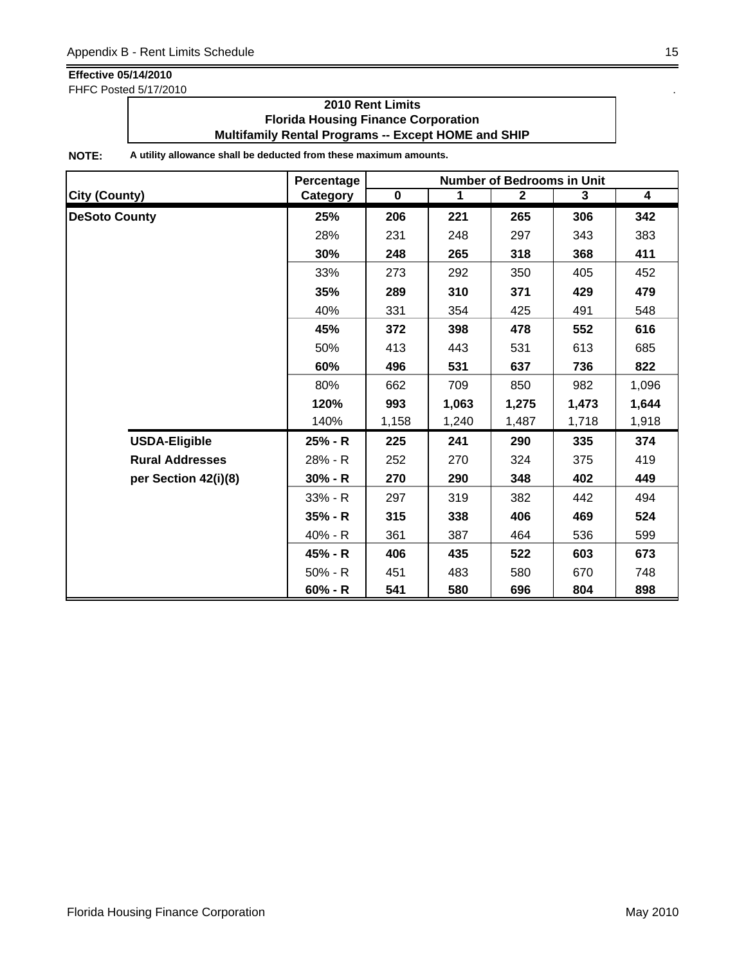FHFC Posted 5/17/2010 .

### **2010 Rent Limits Florida Housing Finance Corporation Multifamily Rental Programs -- Except HOME and SHIP**

|                        | Percentage<br><b>Number of Bedrooms in Unit</b> |             |       |              |       |                         |
|------------------------|-------------------------------------------------|-------------|-------|--------------|-------|-------------------------|
| <b>City (County)</b>   | Category                                        | $\mathbf 0$ | 1     | $\mathbf{2}$ | 3     | $\overline{\mathbf{4}}$ |
| <b>DeSoto County</b>   | 25%                                             | 206         | 221   | 265          | 306   | 342                     |
|                        | 28%                                             | 231         | 248   | 297          | 343   | 383                     |
|                        | 30%                                             | 248         | 265   | 318          | 368   | 411                     |
|                        | 33%                                             | 273         | 292   | 350          | 405   | 452                     |
|                        | 35%                                             | 289         | 310   | 371          | 429   | 479                     |
|                        | 40%                                             | 331         | 354   | 425          | 491   | 548                     |
|                        | 45%                                             | 372         | 398   | 478          | 552   | 616                     |
|                        | 50%                                             | 413         | 443   | 531          | 613   | 685                     |
|                        | 60%                                             | 496         | 531   | 637          | 736   | 822                     |
|                        | 80%                                             | 662         | 709   | 850          | 982   | 1,096                   |
|                        | 120%                                            | 993         | 1,063 | 1,275        | 1,473 | 1,644                   |
|                        | 140%                                            | 1,158       | 1,240 | 1,487        | 1,718 | 1,918                   |
| <b>USDA-Eligible</b>   | 25% - R                                         | 225         | 241   | 290          | 335   | 374                     |
| <b>Rural Addresses</b> | 28% - R                                         | 252         | 270   | 324          | 375   | 419                     |
| per Section 42(i)(8)   | $30% - R$                                       | 270         | 290   | 348          | 402   | 449                     |
|                        | 33% - R                                         | 297         | 319   | 382          | 442   | 494                     |
|                        | $35% - R$                                       | 315         | 338   | 406          | 469   | 524                     |
|                        | 40% - R                                         | 361         | 387   | 464          | 536   | 599                     |
|                        | 45% - R                                         | 406         | 435   | 522          | 603   | 673                     |
|                        | $50% - R$                                       | 451         | 483   | 580          | 670   | 748                     |
|                        | $60% - R$                                       | 541         | 580   | 696          | 804   | 898                     |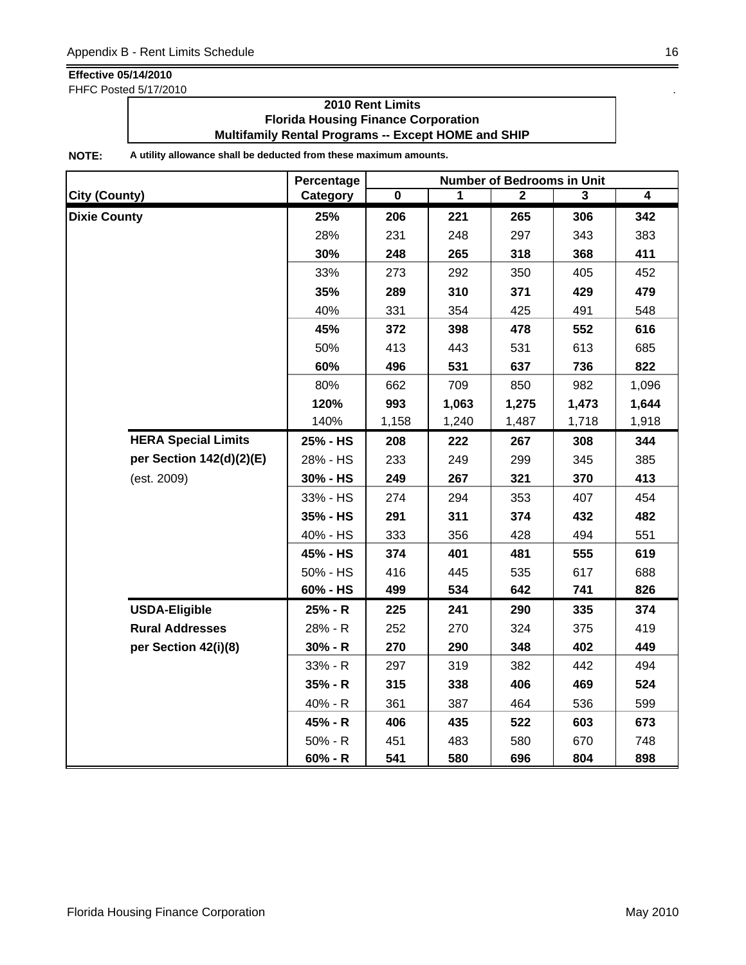FHFC Posted 5/17/2010 .

### **2010 Rent Limits Florida Housing Finance Corporation Multifamily Rental Programs -- Except HOME and SHIP**

|                            | Percentage | <b>Number of Bedrooms in Unit</b> |       |              |       |       |  |
|----------------------------|------------|-----------------------------------|-------|--------------|-------|-------|--|
| <b>City (County)</b>       | Category   | $\mathbf 0$                       | 1     | $\mathbf{2}$ | 3     | 4     |  |
| <b>Dixie County</b>        | 25%        | 206                               | 221   | 265          | 306   | 342   |  |
|                            | 28%        | 231                               | 248   | 297          | 343   | 383   |  |
|                            | 30%        | 248                               | 265   | 318          | 368   | 411   |  |
|                            | 33%        | 273                               | 292   | 350          | 405   | 452   |  |
|                            | 35%        | 289                               | 310   | 371          | 429   | 479   |  |
|                            | 40%        | 331                               | 354   | 425          | 491   | 548   |  |
|                            | 45%        | 372                               | 398   | 478          | 552   | 616   |  |
|                            | 50%        | 413                               | 443   | 531          | 613   | 685   |  |
|                            | 60%        | 496                               | 531   | 637          | 736   | 822   |  |
|                            | 80%        | 662                               | 709   | 850          | 982   | 1,096 |  |
|                            | 120%       | 993                               | 1,063 | 1,275        | 1,473 | 1,644 |  |
|                            | 140%       | 1,158                             | 1,240 | 1,487        | 1,718 | 1,918 |  |
| <b>HERA Special Limits</b> | 25% - HS   | 208                               | 222   | 267          | 308   | 344   |  |
| per Section 142(d)(2)(E)   | 28% - HS   | 233                               | 249   | 299          | 345   | 385   |  |
| (est. 2009)                | 30% - HS   | 249                               | 267   | 321          | 370   | 413   |  |
|                            | 33% - HS   | 274                               | 294   | 353          | 407   | 454   |  |
|                            | 35% - HS   | 291                               | 311   | 374          | 432   | 482   |  |
|                            | 40% - HS   | 333                               | 356   | 428          | 494   | 551   |  |
|                            | 45% - HS   | 374                               | 401   | 481          | 555   | 619   |  |
|                            | 50% - HS   | 416                               | 445   | 535          | 617   | 688   |  |
|                            | 60% - HS   | 499                               | 534   | 642          | 741   | 826   |  |
| <b>USDA-Eligible</b>       | 25% - R    | 225                               | 241   | 290          | 335   | 374   |  |
| <b>Rural Addresses</b>     | 28% - R    | 252                               | 270   | 324          | 375   | 419   |  |
| per Section 42(i)(8)       | $30% - R$  | 270                               | 290   | 348          | 402   | 449   |  |
|                            | 33% - R    | 297                               | 319   | 382          | 442   | 494   |  |
|                            | $35% - R$  | 315                               | 338   | 406          | 469   | 524   |  |
|                            | 40% - R    | 361                               | 387   | 464          | 536   | 599   |  |
|                            | 45% - R    | 406                               | 435   | 522          | 603   | 673   |  |
|                            | $50% - R$  | 451                               | 483   | 580          | 670   | 748   |  |
|                            | $60% - R$  | 541                               | 580   | 696          | 804   | 898   |  |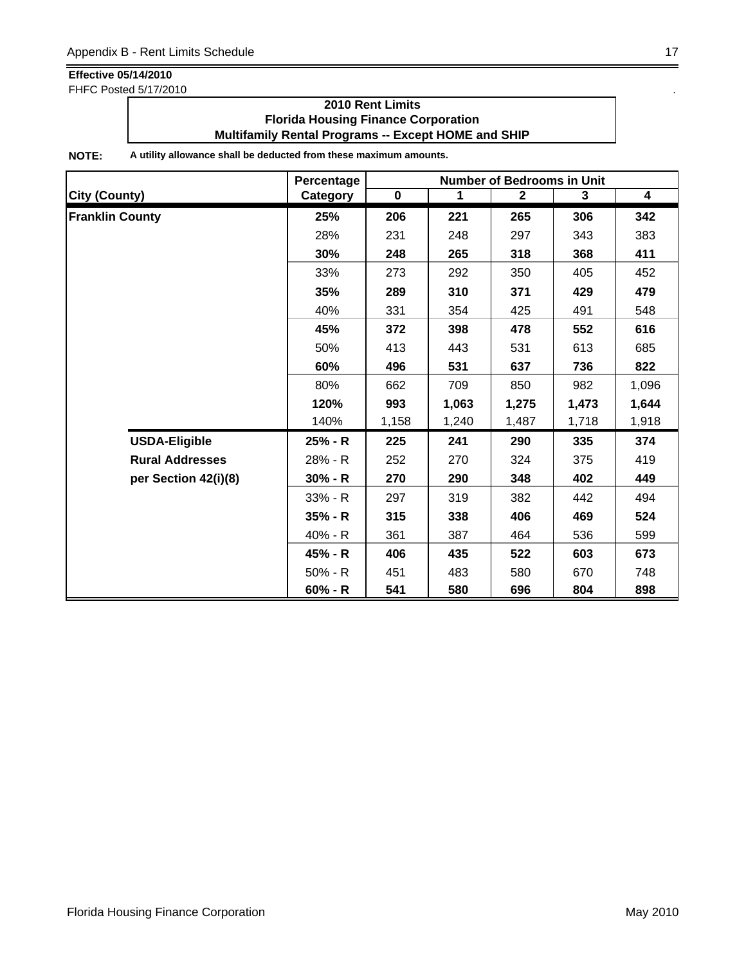FHFC Posted 5/17/2010 .

### **2010 Rent Limits Florida Housing Finance Corporation Multifamily Rental Programs -- Except HOME and SHIP**

|                        | Percentage | <b>Number of Bedrooms in Unit</b> |       |              |       |                         |  |
|------------------------|------------|-----------------------------------|-------|--------------|-------|-------------------------|--|
| <b>City (County)</b>   | Category   | $\mathbf 0$                       | 1     | $\mathbf{2}$ | 3     | $\overline{\mathbf{4}}$ |  |
| <b>Franklin County</b> | 25%        | 206                               | 221   | 265          | 306   | 342                     |  |
|                        | 28%        | 231                               | 248   | 297          | 343   | 383                     |  |
|                        | 30%        | 248                               | 265   | 318          | 368   | 411                     |  |
|                        | 33%        | 273                               | 292   | 350          | 405   | 452                     |  |
|                        | 35%        | 289                               | 310   | 371          | 429   | 479                     |  |
|                        | 40%        | 331                               | 354   | 425          | 491   | 548                     |  |
|                        | 45%        | 372                               | 398   | 478          | 552   | 616                     |  |
|                        | 50%        | 413                               | 443   | 531          | 613   | 685                     |  |
|                        | 60%        | 496                               | 531   | 637          | 736   | 822                     |  |
|                        | 80%        | 662                               | 709   | 850          | 982   | 1,096                   |  |
|                        | 120%       | 993                               | 1,063 | 1,275        | 1,473 | 1,644                   |  |
|                        | 140%       | 1,158                             | 1,240 | 1,487        | 1,718 | 1,918                   |  |
| <b>USDA-Eligible</b>   | 25% - R    | 225                               | 241   | 290          | 335   | 374                     |  |
| <b>Rural Addresses</b> | 28% - R    | 252                               | 270   | 324          | 375   | 419                     |  |
| per Section 42(i)(8)   | $30% - R$  | 270                               | 290   | 348          | 402   | 449                     |  |
|                        | 33% - R    | 297                               | 319   | 382          | 442   | 494                     |  |
|                        | $35% - R$  | 315                               | 338   | 406          | 469   | 524                     |  |
|                        | 40% - R    | 361                               | 387   | 464          | 536   | 599                     |  |
|                        | 45% - R    | 406                               | 435   | 522          | 603   | 673                     |  |
|                        | $50% - R$  | 451                               | 483   | 580          | 670   | 748                     |  |
|                        | $60% - R$  | 541                               | 580   | 696          | 804   | 898                     |  |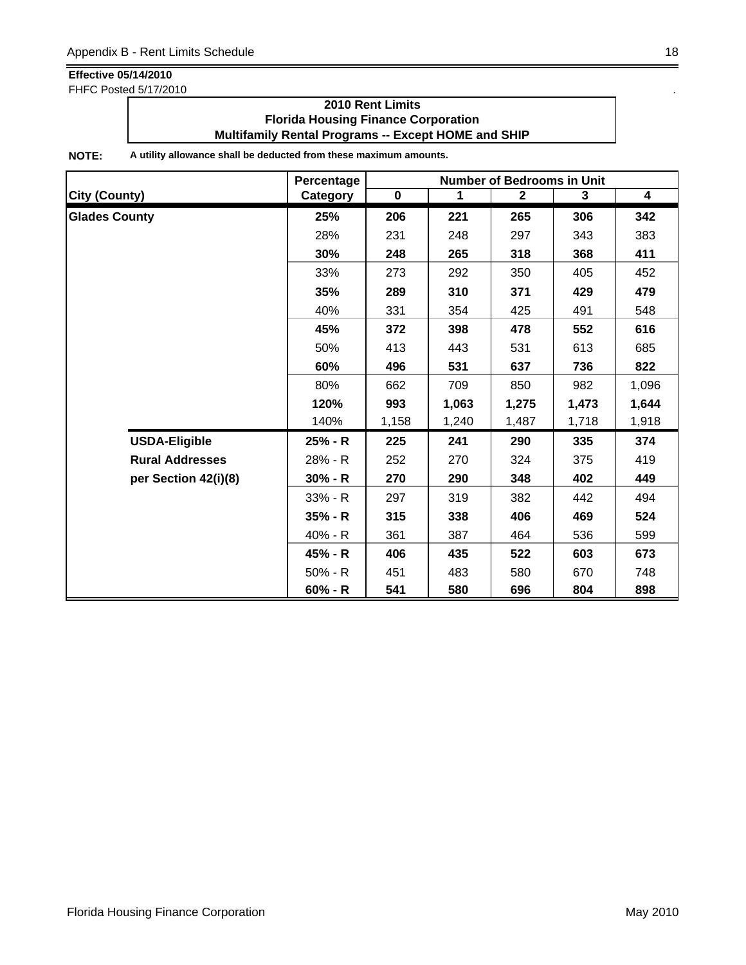FHFC Posted 5/17/2010 .

### **2010 Rent Limits Florida Housing Finance Corporation Multifamily Rental Programs -- Except HOME and SHIP**

|                        | Percentage | <b>Number of Bedrooms in Unit</b> |       |              |       |                         |  |
|------------------------|------------|-----------------------------------|-------|--------------|-------|-------------------------|--|
| <b>City (County)</b>   | Category   | $\mathbf 0$                       | 1     | $\mathbf{2}$ | 3     | $\overline{\mathbf{4}}$ |  |
| <b>Glades County</b>   | 25%        | 206                               | 221   | 265          | 306   | 342                     |  |
|                        | 28%        | 231                               | 248   | 297          | 343   | 383                     |  |
|                        | 30%        | 248                               | 265   | 318          | 368   | 411                     |  |
|                        | 33%        | 273                               | 292   | 350          | 405   | 452                     |  |
|                        | 35%        | 289                               | 310   | 371          | 429   | 479                     |  |
|                        | 40%        | 331                               | 354   | 425          | 491   | 548                     |  |
|                        | 45%        | 372                               | 398   | 478          | 552   | 616                     |  |
|                        | 50%        | 413                               | 443   | 531          | 613   | 685                     |  |
|                        | 60%        | 496                               | 531   | 637          | 736   | 822                     |  |
|                        | 80%        | 662                               | 709   | 850          | 982   | 1,096                   |  |
|                        | 120%       | 993                               | 1,063 | 1,275        | 1,473 | 1,644                   |  |
|                        | 140%       | 1,158                             | 1,240 | 1,487        | 1,718 | 1,918                   |  |
| <b>USDA-Eligible</b>   | 25% - R    | 225                               | 241   | 290          | 335   | 374                     |  |
| <b>Rural Addresses</b> | 28% - R    | 252                               | 270   | 324          | 375   | 419                     |  |
| per Section 42(i)(8)   | $30% - R$  | 270                               | 290   | 348          | 402   | 449                     |  |
|                        | 33% - R    | 297                               | 319   | 382          | 442   | 494                     |  |
|                        | $35% - R$  | 315                               | 338   | 406          | 469   | 524                     |  |
|                        | 40% - R    | 361                               | 387   | 464          | 536   | 599                     |  |
|                        | 45% - R    | 406                               | 435   | 522          | 603   | 673                     |  |
|                        | $50% - R$  | 451                               | 483   | 580          | 670   | 748                     |  |
|                        | $60% - R$  | 541                               | 580   | 696          | 804   | 898                     |  |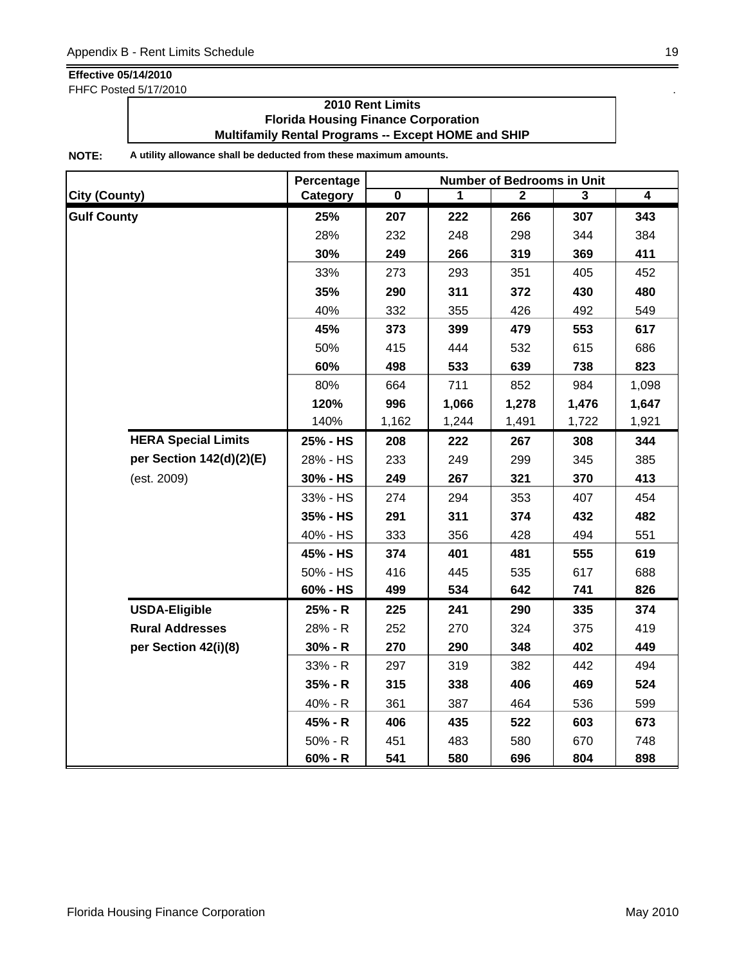FHFC Posted 5/17/2010 .

### **2010 Rent Limits Florida Housing Finance Corporation Multifamily Rental Programs -- Except HOME and SHIP**

|                            | Percentage | <b>Number of Bedrooms in Unit</b> |       |              |       |       |  |
|----------------------------|------------|-----------------------------------|-------|--------------|-------|-------|--|
| <b>City (County)</b>       | Category   | $\mathbf 0$                       | 1     | $\mathbf{2}$ | 3     | 4     |  |
| <b>Gulf County</b>         | 25%        | 207                               | 222   | 266          | 307   | 343   |  |
|                            | 28%        | 232                               | 248   | 298          | 344   | 384   |  |
|                            | 30%        | 249                               | 266   | 319          | 369   | 411   |  |
|                            | 33%        | 273                               | 293   | 351          | 405   | 452   |  |
|                            | 35%        | 290                               | 311   | 372          | 430   | 480   |  |
|                            | 40%        | 332                               | 355   | 426          | 492   | 549   |  |
|                            | 45%        | 373                               | 399   | 479          | 553   | 617   |  |
|                            | 50%        | 415                               | 444   | 532          | 615   | 686   |  |
|                            | 60%        | 498                               | 533   | 639          | 738   | 823   |  |
|                            | 80%        | 664                               | 711   | 852          | 984   | 1,098 |  |
|                            | 120%       | 996                               | 1,066 | 1,278        | 1,476 | 1,647 |  |
|                            | 140%       | 1,162                             | 1,244 | 1,491        | 1,722 | 1,921 |  |
| <b>HERA Special Limits</b> | 25% - HS   | 208                               | 222   | 267          | 308   | 344   |  |
| per Section 142(d)(2)(E)   | 28% - HS   | 233                               | 249   | 299          | 345   | 385   |  |
| (est. 2009)                | 30% - HS   | 249                               | 267   | 321          | 370   | 413   |  |
|                            | 33% - HS   | 274                               | 294   | 353          | 407   | 454   |  |
|                            | 35% - HS   | 291                               | 311   | 374          | 432   | 482   |  |
|                            | 40% - HS   | 333                               | 356   | 428          | 494   | 551   |  |
|                            | 45% - HS   | 374                               | 401   | 481          | 555   | 619   |  |
|                            | 50% - HS   | 416                               | 445   | 535          | 617   | 688   |  |
|                            | 60% - HS   | 499                               | 534   | 642          | 741   | 826   |  |
| <b>USDA-Eligible</b>       | 25% - R    | 225                               | 241   | 290          | 335   | 374   |  |
| <b>Rural Addresses</b>     | 28% - R    | 252                               | 270   | 324          | 375   | 419   |  |
| per Section 42(i)(8)       | $30% - R$  | 270                               | 290   | 348          | 402   | 449   |  |
|                            | 33% - R    | 297                               | 319   | 382          | 442   | 494   |  |
|                            | $35% - R$  | 315                               | 338   | 406          | 469   | 524   |  |
|                            | 40% - R    | 361                               | 387   | 464          | 536   | 599   |  |
|                            | 45% - R    | 406                               | 435   | 522          | 603   | 673   |  |
|                            | $50% - R$  | 451                               | 483   | 580          | 670   | 748   |  |
|                            | $60% - R$  | 541                               | 580   | 696          | 804   | 898   |  |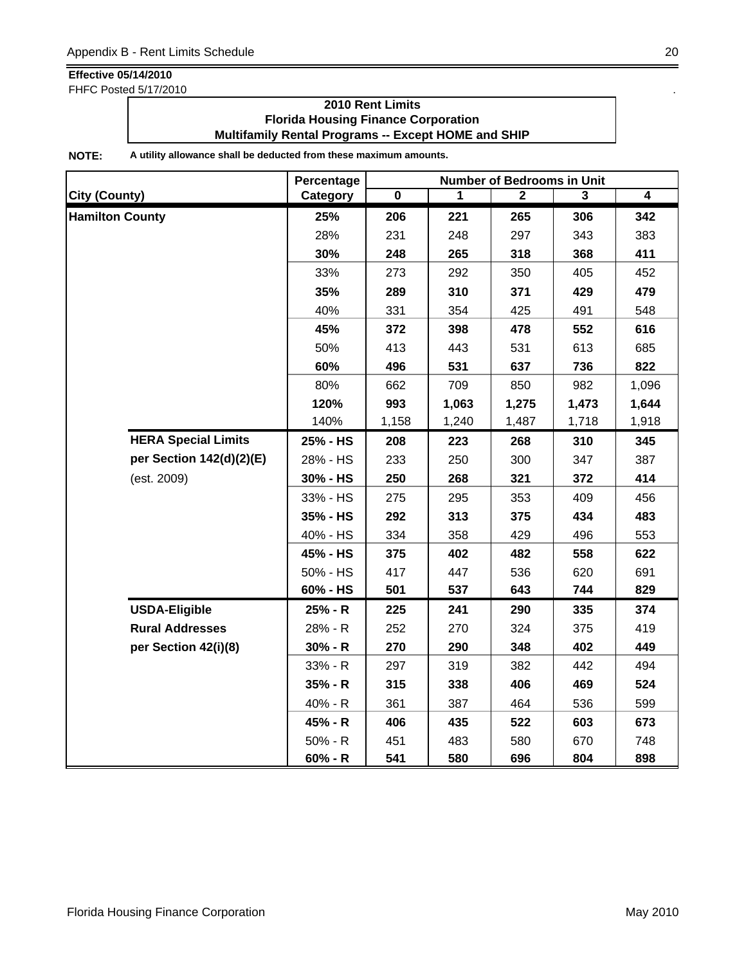FHFC Posted 5/17/2010 .

### **2010 Rent Limits Florida Housing Finance Corporation Multifamily Rental Programs -- Except HOME and SHIP**

|                            | Percentage | <b>Number of Bedrooms in Unit</b> |       |              |       |                |  |
|----------------------------|------------|-----------------------------------|-------|--------------|-------|----------------|--|
| <b>City (County)</b>       | Category   | $\mathbf 0$                       | 1     | $\mathbf{2}$ | 3     | $\overline{4}$ |  |
| <b>Hamilton County</b>     | 25%        | 206                               | 221   | 265          | 306   | 342            |  |
|                            | 28%        | 231                               | 248   | 297          | 343   | 383            |  |
|                            | 30%        | 248                               | 265   | 318          | 368   | 411            |  |
|                            | 33%        | 273                               | 292   | 350          | 405   | 452            |  |
|                            | 35%        | 289                               | 310   | 371          | 429   | 479            |  |
|                            | 40%        | 331                               | 354   | 425          | 491   | 548            |  |
|                            | 45%        | 372                               | 398   | 478          | 552   | 616            |  |
|                            | 50%        | 413                               | 443   | 531          | 613   | 685            |  |
|                            | 60%        | 496                               | 531   | 637          | 736   | 822            |  |
|                            | 80%        | 662                               | 709   | 850          | 982   | 1,096          |  |
|                            | 120%       | 993                               | 1,063 | 1,275        | 1,473 | 1,644          |  |
|                            | 140%       | 1,158                             | 1,240 | 1,487        | 1,718 | 1,918          |  |
| <b>HERA Special Limits</b> | 25% - HS   | 208                               | 223   | 268          | 310   | 345            |  |
| per Section 142(d)(2)(E)   | 28% - HS   | 233                               | 250   | 300          | 347   | 387            |  |
| (est. 2009)                | 30% - HS   | 250                               | 268   | 321          | 372   | 414            |  |
|                            | 33% - HS   | 275                               | 295   | 353          | 409   | 456            |  |
|                            | 35% - HS   | 292                               | 313   | 375          | 434   | 483            |  |
|                            | 40% - HS   | 334                               | 358   | 429          | 496   | 553            |  |
|                            | 45% - HS   | 375                               | 402   | 482          | 558   | 622            |  |
|                            | 50% - HS   | 417                               | 447   | 536          | 620   | 691            |  |
|                            | 60% - HS   | 501                               | 537   | 643          | 744   | 829            |  |
| <b>USDA-Eligible</b>       | 25% - R    | 225                               | 241   | 290          | 335   | 374            |  |
| <b>Rural Addresses</b>     | 28% - R    | 252                               | 270   | 324          | 375   | 419            |  |
| per Section 42(i)(8)       | $30% - R$  | 270                               | 290   | 348          | 402   | 449            |  |
|                            | 33% - R    | 297                               | 319   | 382          | 442   | 494            |  |
|                            | $35% - R$  | 315                               | 338   | 406          | 469   | 524            |  |
|                            | 40% - R    | 361                               | 387   | 464          | 536   | 599            |  |
|                            | 45% - R    | 406                               | 435   | 522          | 603   | 673            |  |
|                            | $50% - R$  | 451                               | 483   | 580          | 670   | 748            |  |
|                            | $60% - R$  | 541                               | 580   | 696          | 804   | 898            |  |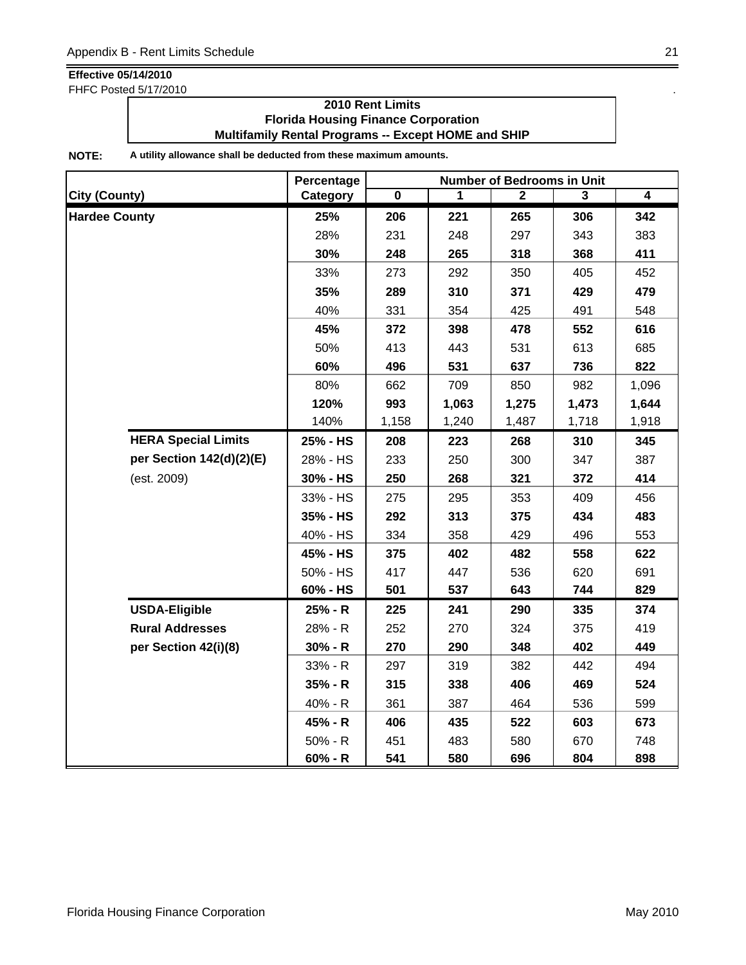FHFC Posted 5/17/2010 .

### **2010 Rent Limits Florida Housing Finance Corporation Multifamily Rental Programs -- Except HOME and SHIP**

|                            | Percentage |             |       | <b>Number of Bedrooms in Unit</b> |       |       |
|----------------------------|------------|-------------|-------|-----------------------------------|-------|-------|
| <b>City (County)</b>       | Category   | $\mathbf 0$ | 1     | $\mathbf{2}$                      | 3     | 4     |
| <b>Hardee County</b>       | 25%        | 206         | 221   | 265                               | 306   | 342   |
|                            | 28%        | 231         | 248   | 297                               | 343   | 383   |
|                            | 30%        | 248         | 265   | 318                               | 368   | 411   |
|                            | 33%        | 273         | 292   | 350                               | 405   | 452   |
|                            | 35%        | 289         | 310   | 371                               | 429   | 479   |
|                            | 40%        | 331         | 354   | 425                               | 491   | 548   |
|                            | 45%        | 372         | 398   | 478                               | 552   | 616   |
|                            | 50%        | 413         | 443   | 531                               | 613   | 685   |
|                            | 60%        | 496         | 531   | 637                               | 736   | 822   |
|                            | 80%        | 662         | 709   | 850                               | 982   | 1,096 |
|                            | 120%       | 993         | 1,063 | 1,275                             | 1,473 | 1,644 |
|                            | 140%       | 1,158       | 1,240 | 1,487                             | 1,718 | 1,918 |
| <b>HERA Special Limits</b> | 25% - HS   | 208         | 223   | 268                               | 310   | 345   |
| per Section 142(d)(2)(E)   | 28% - HS   | 233         | 250   | 300                               | 347   | 387   |
| (est. 2009)                | 30% - HS   | 250         | 268   | 321                               | 372   | 414   |
|                            | 33% - HS   | 275         | 295   | 353                               | 409   | 456   |
|                            | 35% - HS   | 292         | 313   | 375                               | 434   | 483   |
|                            | 40% - HS   | 334         | 358   | 429                               | 496   | 553   |
|                            | 45% - HS   | 375         | 402   | 482                               | 558   | 622   |
|                            | 50% - HS   | 417         | 447   | 536                               | 620   | 691   |
|                            | 60% - HS   | 501         | 537   | 643                               | 744   | 829   |
| <b>USDA-Eligible</b>       | 25% - R    | 225         | 241   | 290                               | 335   | 374   |
| <b>Rural Addresses</b>     | 28% - R    | 252         | 270   | 324                               | 375   | 419   |
| per Section 42(i)(8)       | $30% - R$  | 270         | 290   | 348                               | 402   | 449   |
|                            | 33% - R    | 297         | 319   | 382                               | 442   | 494   |
|                            | $35% - R$  | 315         | 338   | 406                               | 469   | 524   |
|                            | 40% - R    | 361         | 387   | 464                               | 536   | 599   |
|                            | 45% - R    | 406         | 435   | 522                               | 603   | 673   |
|                            | $50% - R$  | 451         | 483   | 580                               | 670   | 748   |
|                            | $60% - R$  | 541         | 580   | 696                               | 804   | 898   |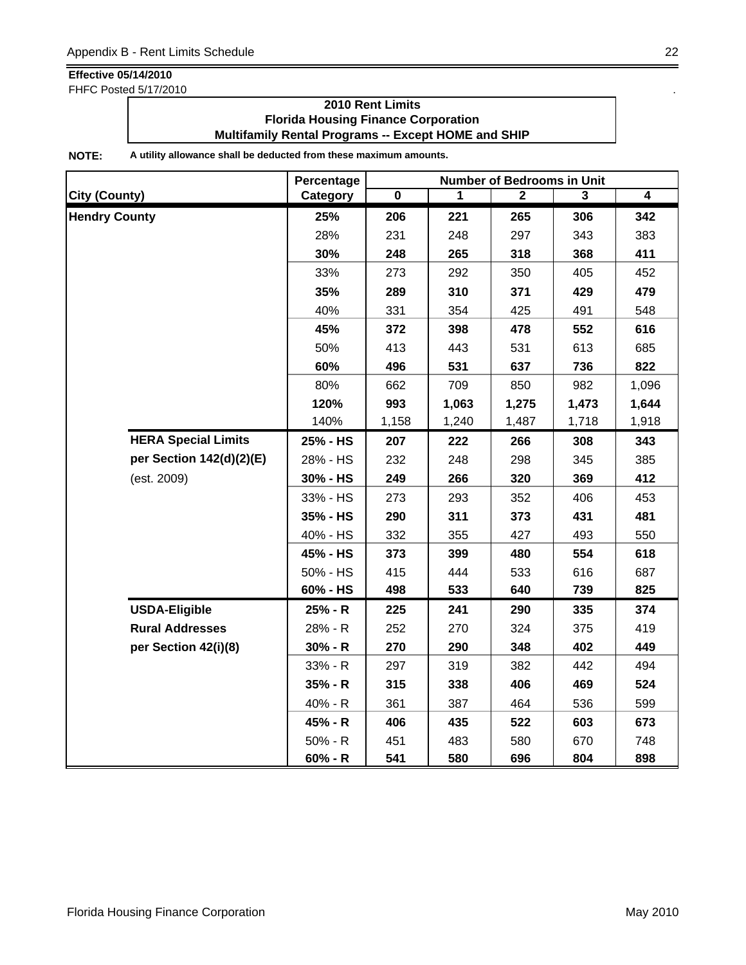FHFC Posted 5/17/2010 .

### **2010 Rent Limits Florida Housing Finance Corporation Multifamily Rental Programs -- Except HOME and SHIP**

|                            | Percentage | <b>Number of Bedrooms in Unit</b> |       |              |       |                |  |
|----------------------------|------------|-----------------------------------|-------|--------------|-------|----------------|--|
| <b>City (County)</b>       | Category   | $\mathbf 0$                       | 1     | $\mathbf{2}$ | 3     | $\overline{4}$ |  |
| <b>Hendry County</b>       | 25%        | 206                               | 221   | 265          | 306   | 342            |  |
|                            | 28%        | 231                               | 248   | 297          | 343   | 383            |  |
|                            | 30%        | 248                               | 265   | 318          | 368   | 411            |  |
|                            | 33%        | 273                               | 292   | 350          | 405   | 452            |  |
|                            | 35%        | 289                               | 310   | 371          | 429   | 479            |  |
|                            | 40%        | 331                               | 354   | 425          | 491   | 548            |  |
|                            | 45%        | 372                               | 398   | 478          | 552   | 616            |  |
|                            | 50%        | 413                               | 443   | 531          | 613   | 685            |  |
|                            | 60%        | 496                               | 531   | 637          | 736   | 822            |  |
|                            | 80%        | 662                               | 709   | 850          | 982   | 1,096          |  |
|                            | 120%       | 993                               | 1,063 | 1,275        | 1,473 | 1,644          |  |
|                            | 140%       | 1,158                             | 1,240 | 1,487        | 1,718 | 1,918          |  |
| <b>HERA Special Limits</b> | 25% - HS   | 207                               | 222   | 266          | 308   | 343            |  |
| per Section 142(d)(2)(E)   | 28% - HS   | 232                               | 248   | 298          | 345   | 385            |  |
| (est. 2009)                | 30% - HS   | 249                               | 266   | 320          | 369   | 412            |  |
|                            | 33% - HS   | 273                               | 293   | 352          | 406   | 453            |  |
|                            | 35% - HS   | 290                               | 311   | 373          | 431   | 481            |  |
|                            | 40% - HS   | 332                               | 355   | 427          | 493   | 550            |  |
|                            | 45% - HS   | 373                               | 399   | 480          | 554   | 618            |  |
|                            | 50% - HS   | 415                               | 444   | 533          | 616   | 687            |  |
|                            | 60% - HS   | 498                               | 533   | 640          | 739   | 825            |  |
| <b>USDA-Eligible</b>       | 25% - R    | 225                               | 241   | 290          | 335   | 374            |  |
| <b>Rural Addresses</b>     | 28% - R    | 252                               | 270   | 324          | 375   | 419            |  |
| per Section 42(i)(8)       | $30% - R$  | 270                               | 290   | 348          | 402   | 449            |  |
|                            | 33% - R    | 297                               | 319   | 382          | 442   | 494            |  |
|                            | $35% - R$  | 315                               | 338   | 406          | 469   | 524            |  |
|                            | 40% - R    | 361                               | 387   | 464          | 536   | 599            |  |
|                            | 45% - R    | 406                               | 435   | 522          | 603   | 673            |  |
|                            | $50% - R$  | 451                               | 483   | 580          | 670   | 748            |  |
|                            | $60% - R$  | 541                               | 580   | 696          | 804   | 898            |  |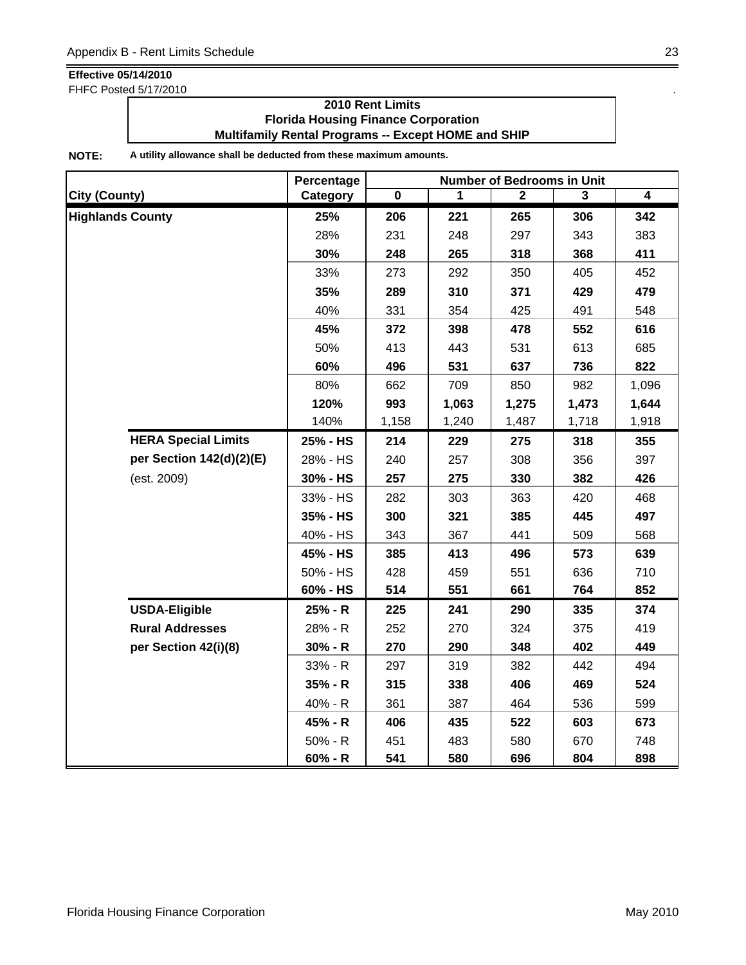FHFC Posted 5/17/2010 .

### **2010 Rent Limits Florida Housing Finance Corporation Multifamily Rental Programs -- Except HOME and SHIP**

|                            | Percentage | <b>Number of Bedrooms in Unit</b> |       |              |       |       |  |
|----------------------------|------------|-----------------------------------|-------|--------------|-------|-------|--|
| <b>City (County)</b>       | Category   | 0                                 | 1     | $\mathbf{2}$ | 3     | 4     |  |
| <b>Highlands County</b>    | 25%        | 206                               | 221   | 265          | 306   | 342   |  |
|                            | 28%        | 231                               | 248   | 297          | 343   | 383   |  |
|                            | 30%        | 248                               | 265   | 318          | 368   | 411   |  |
|                            | 33%        | 273                               | 292   | 350          | 405   | 452   |  |
|                            | 35%        | 289                               | 310   | 371          | 429   | 479   |  |
|                            | 40%        | 331                               | 354   | 425          | 491   | 548   |  |
|                            | 45%        | 372                               | 398   | 478          | 552   | 616   |  |
|                            | 50%        | 413                               | 443   | 531          | 613   | 685   |  |
|                            | 60%        | 496                               | 531   | 637          | 736   | 822   |  |
|                            | 80%        | 662                               | 709   | 850          | 982   | 1,096 |  |
|                            | 120%       | 993                               | 1,063 | 1,275        | 1,473 | 1,644 |  |
|                            | 140%       | 1,158                             | 1,240 | 1,487        | 1,718 | 1,918 |  |
| <b>HERA Special Limits</b> | 25% - HS   | 214                               | 229   | 275          | 318   | 355   |  |
| per Section 142(d)(2)(E)   | 28% - HS   | 240                               | 257   | 308          | 356   | 397   |  |
| (est. 2009)                | 30% - HS   | 257                               | 275   | 330          | 382   | 426   |  |
|                            | 33% - HS   | 282                               | 303   | 363          | 420   | 468   |  |
|                            | 35% - HS   | 300                               | 321   | 385          | 445   | 497   |  |
|                            | 40% - HS   | 343                               | 367   | 441          | 509   | 568   |  |
|                            | 45% - HS   | 385                               | 413   | 496          | 573   | 639   |  |
|                            | 50% - HS   | 428                               | 459   | 551          | 636   | 710   |  |
|                            | 60% - HS   | 514                               | 551   | 661          | 764   | 852   |  |
| <b>USDA-Eligible</b>       | 25% - R    | 225                               | 241   | 290          | 335   | 374   |  |
| <b>Rural Addresses</b>     | 28% - R    | 252                               | 270   | 324          | 375   | 419   |  |
| per Section 42(i)(8)       | $30% - R$  | 270                               | 290   | 348          | 402   | 449   |  |
|                            | 33% - R    | 297                               | 319   | 382          | 442   | 494   |  |
|                            | $35% - R$  | 315                               | 338   | 406          | 469   | 524   |  |
|                            | 40% - R    | 361                               | 387   | 464          | 536   | 599   |  |
|                            | 45% - R    | 406                               | 435   | 522          | 603   | 673   |  |
|                            | $50% - R$  | 451                               | 483   | 580          | 670   | 748   |  |
|                            | $60% - R$  | 541                               | 580   | 696          | 804   | 898   |  |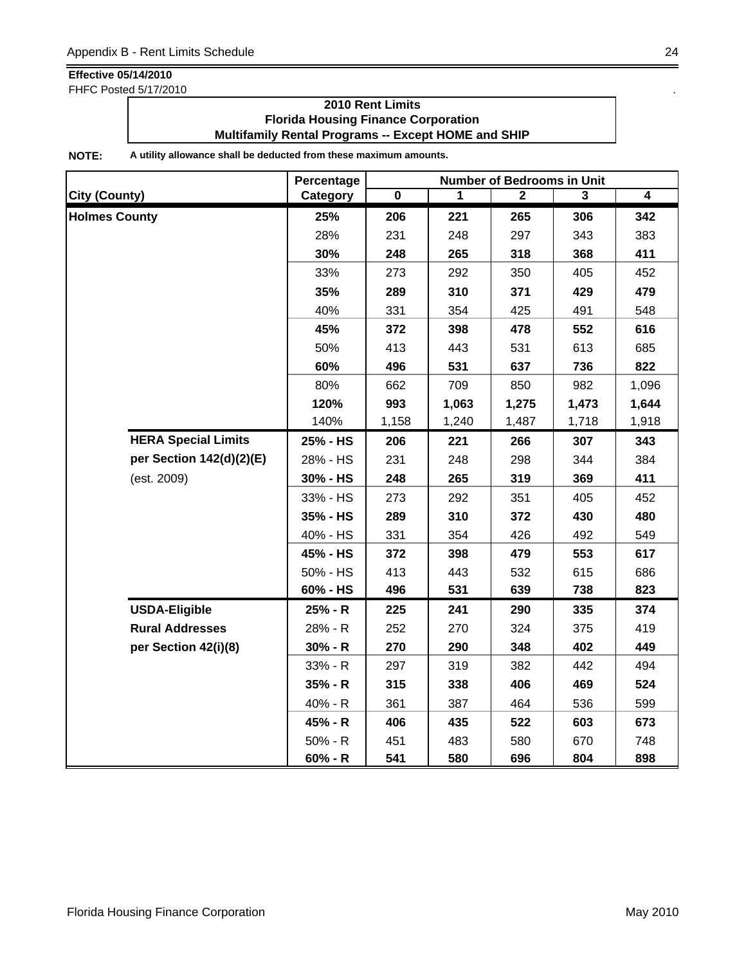FHFC Posted 5/17/2010 .

### **2010 Rent Limits Florida Housing Finance Corporation Multifamily Rental Programs -- Except HOME and SHIP**

|                            | Percentage | <b>Number of Bedrooms in Unit</b> |       |              |       |                |  |
|----------------------------|------------|-----------------------------------|-------|--------------|-------|----------------|--|
| <b>City (County)</b>       | Category   | $\mathbf 0$                       | 1     | $\mathbf{2}$ | 3     | $\overline{4}$ |  |
| <b>Holmes County</b>       | 25%        | 206                               | 221   | 265          | 306   | 342            |  |
|                            | 28%        | 231                               | 248   | 297          | 343   | 383            |  |
|                            | 30%        | 248                               | 265   | 318          | 368   | 411            |  |
|                            | 33%        | 273                               | 292   | 350          | 405   | 452            |  |
|                            | 35%        | 289                               | 310   | 371          | 429   | 479            |  |
|                            | 40%        | 331                               | 354   | 425          | 491   | 548            |  |
|                            | 45%        | 372                               | 398   | 478          | 552   | 616            |  |
|                            | 50%        | 413                               | 443   | 531          | 613   | 685            |  |
|                            | 60%        | 496                               | 531   | 637          | 736   | 822            |  |
|                            | 80%        | 662                               | 709   | 850          | 982   | 1,096          |  |
|                            | 120%       | 993                               | 1,063 | 1,275        | 1,473 | 1,644          |  |
|                            | 140%       | 1,158                             | 1,240 | 1,487        | 1,718 | 1,918          |  |
| <b>HERA Special Limits</b> | 25% - HS   | 206                               | 221   | 266          | 307   | 343            |  |
| per Section 142(d)(2)(E)   | 28% - HS   | 231                               | 248   | 298          | 344   | 384            |  |
| (est. 2009)                | 30% - HS   | 248                               | 265   | 319          | 369   | 411            |  |
|                            | 33% - HS   | 273                               | 292   | 351          | 405   | 452            |  |
|                            | 35% - HS   | 289                               | 310   | 372          | 430   | 480            |  |
|                            | 40% - HS   | 331                               | 354   | 426          | 492   | 549            |  |
|                            | 45% - HS   | 372                               | 398   | 479          | 553   | 617            |  |
|                            | 50% - HS   | 413                               | 443   | 532          | 615   | 686            |  |
|                            | 60% - HS   | 496                               | 531   | 639          | 738   | 823            |  |
| <b>USDA-Eligible</b>       | 25% - R    | 225                               | 241   | 290          | 335   | 374            |  |
| <b>Rural Addresses</b>     | 28% - R    | 252                               | 270   | 324          | 375   | 419            |  |
| per Section 42(i)(8)       | $30% - R$  | 270                               | 290   | 348          | 402   | 449            |  |
|                            | 33% - R    | 297                               | 319   | 382          | 442   | 494            |  |
|                            | $35% - R$  | 315                               | 338   | 406          | 469   | 524            |  |
|                            | 40% - R    | 361                               | 387   | 464          | 536   | 599            |  |
|                            | 45% - R    | 406                               | 435   | 522          | 603   | 673            |  |
|                            | $50% - R$  | 451                               | 483   | 580          | 670   | 748            |  |
|                            | $60% - R$  | 541                               | 580   | 696          | 804   | 898            |  |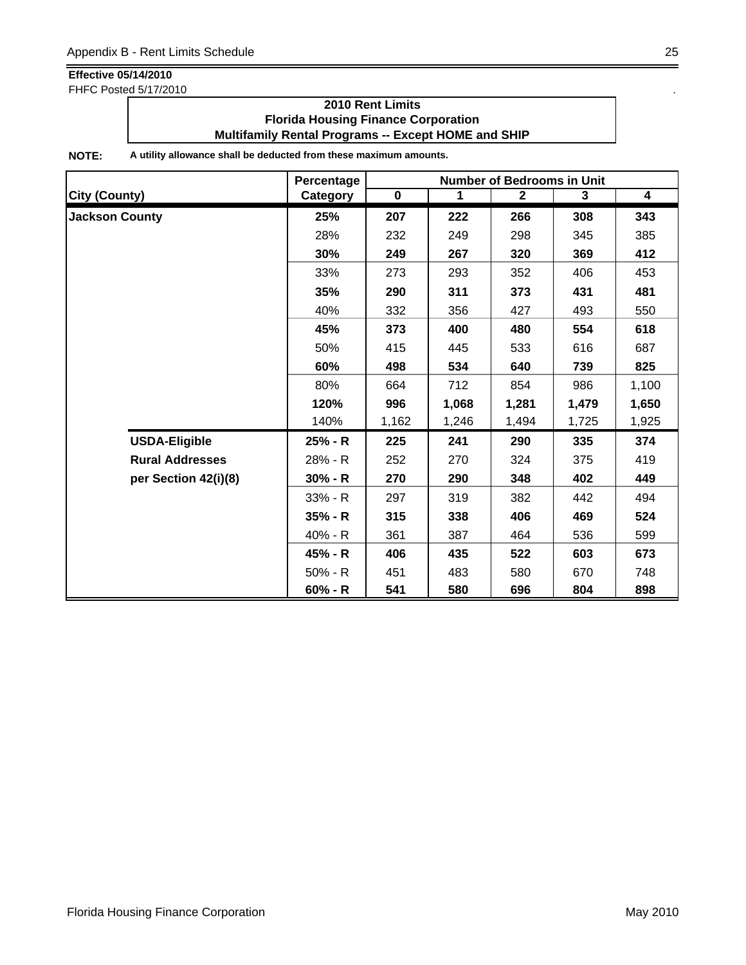FHFC Posted 5/17/2010 .

### **2010 Rent Limits Florida Housing Finance Corporation Multifamily Rental Programs -- Except HOME and SHIP**

|                        | Percentage | <b>Number of Bedrooms in Unit</b> |       |              |       |                         |  |
|------------------------|------------|-----------------------------------|-------|--------------|-------|-------------------------|--|
| <b>City (County)</b>   | Category   | $\mathbf 0$                       | 1     | $\mathbf{2}$ | 3     | $\overline{\mathbf{4}}$ |  |
| <b>Jackson County</b>  | 25%        | 207                               | 222   | 266          | 308   | 343                     |  |
|                        | 28%        | 232                               | 249   | 298          | 345   | 385                     |  |
|                        | 30%        | 249                               | 267   | 320          | 369   | 412                     |  |
|                        | 33%        | 273                               | 293   | 352          | 406   | 453                     |  |
|                        | 35%        | 290                               | 311   | 373          | 431   | 481                     |  |
|                        | 40%        | 332                               | 356   | 427          | 493   | 550                     |  |
|                        | 45%        | 373                               | 400   | 480          | 554   | 618                     |  |
|                        | 50%        | 415                               | 445   | 533          | 616   | 687                     |  |
|                        | 60%        | 498                               | 534   | 640          | 739   | 825                     |  |
|                        | 80%        | 664                               | 712   | 854          | 986   | 1,100                   |  |
|                        | 120%       | 996                               | 1,068 | 1,281        | 1,479 | 1,650                   |  |
|                        | 140%       | 1,162                             | 1,246 | 1,494        | 1,725 | 1,925                   |  |
| <b>USDA-Eligible</b>   | 25% - R    | 225                               | 241   | 290          | 335   | 374                     |  |
| <b>Rural Addresses</b> | 28% - R    | 252                               | 270   | 324          | 375   | 419                     |  |
| per Section 42(i)(8)   | $30% - R$  | 270                               | 290   | 348          | 402   | 449                     |  |
|                        | 33% - R    | 297                               | 319   | 382          | 442   | 494                     |  |
|                        | $35% - R$  | 315                               | 338   | 406          | 469   | 524                     |  |
|                        | 40% - R    | 361                               | 387   | 464          | 536   | 599                     |  |
|                        | 45% - R    | 406                               | 435   | 522          | 603   | 673                     |  |
|                        | $50% - R$  | 451                               | 483   | 580          | 670   | 748                     |  |
|                        | $60% - R$  | 541                               | 580   | 696          | 804   | 898                     |  |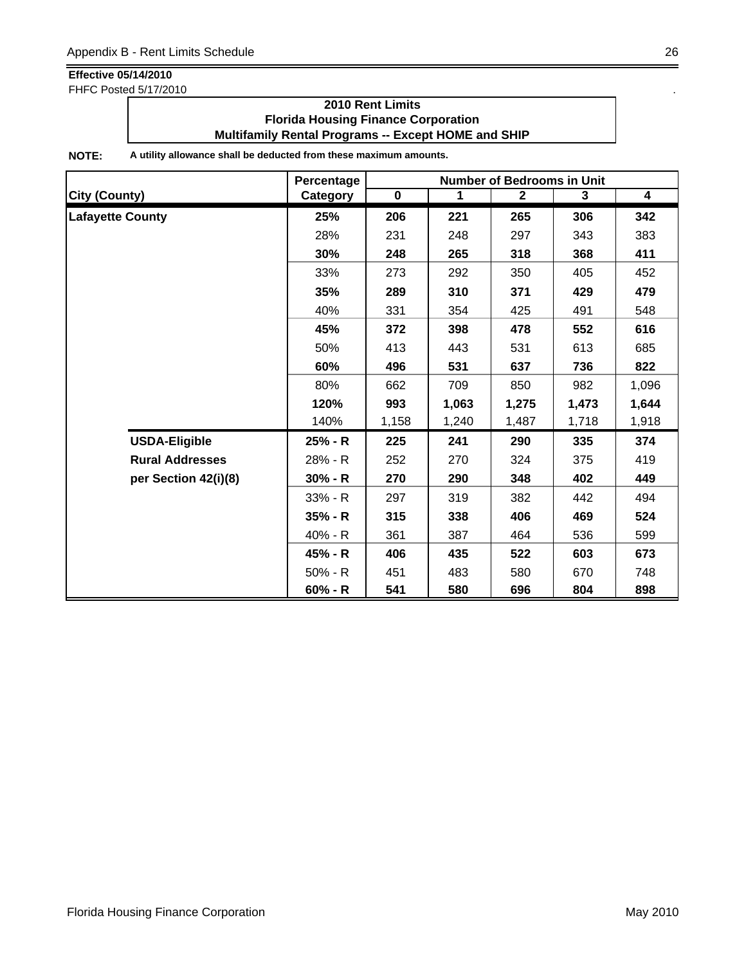FHFC Posted 5/17/2010 .

### **2010 Rent Limits Florida Housing Finance Corporation Multifamily Rental Programs -- Except HOME and SHIP**

|                         | Percentage | <b>Number of Bedrooms in Unit</b> |             |              |       |                         |  |
|-------------------------|------------|-----------------------------------|-------------|--------------|-------|-------------------------|--|
| <b>City (County)</b>    | Category   | $\mathbf 0$                       | $\mathbf 1$ | $\mathbf{2}$ | 3     | $\overline{\mathbf{4}}$ |  |
| <b>Lafayette County</b> | 25%        | 206                               | 221         | 265          | 306   | 342                     |  |
|                         | 28%        | 231                               | 248         | 297          | 343   | 383                     |  |
|                         | 30%        | 248                               | 265         | 318          | 368   | 411                     |  |
|                         | 33%        | 273                               | 292         | 350          | 405   | 452                     |  |
|                         | 35%        | 289                               | 310         | 371          | 429   | 479                     |  |
|                         | 40%        | 331                               | 354         | 425          | 491   | 548                     |  |
|                         | 45%        | 372                               | 398         | 478          | 552   | 616                     |  |
|                         | 50%        | 413                               | 443         | 531          | 613   | 685                     |  |
|                         | 60%        | 496                               | 531         | 637          | 736   | 822                     |  |
|                         | 80%        | 662                               | 709         | 850          | 982   | 1,096                   |  |
|                         | 120%       | 993                               | 1,063       | 1,275        | 1,473 | 1,644                   |  |
|                         | 140%       | 1,158                             | 1,240       | 1,487        | 1,718 | 1,918                   |  |
| <b>USDA-Eligible</b>    | 25% - R    | 225                               | 241         | 290          | 335   | 374                     |  |
| <b>Rural Addresses</b>  | 28% - R    | 252                               | 270         | 324          | 375   | 419                     |  |
| per Section 42(i)(8)    | $30% - R$  | 270                               | 290         | 348          | 402   | 449                     |  |
|                         | $33% - R$  | 297                               | 319         | 382          | 442   | 494                     |  |
|                         | $35% - R$  | 315                               | 338         | 406          | 469   | 524                     |  |
|                         | 40% - R    | 361                               | 387         | 464          | 536   | 599                     |  |
|                         | 45% - R    | 406                               | 435         | 522          | 603   | 673                     |  |
|                         | $50% - R$  | 451                               | 483         | 580          | 670   | 748                     |  |
|                         | $60% - R$  | 541                               | 580         | 696          | 804   | 898                     |  |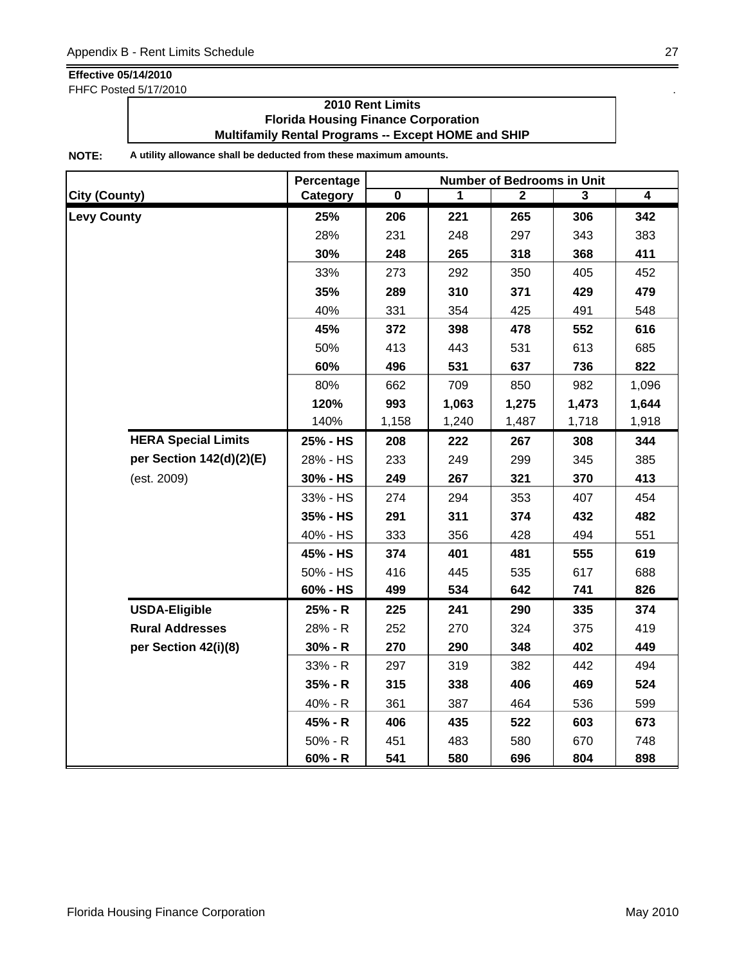FHFC Posted 5/17/2010 .

### **2010 Rent Limits Florida Housing Finance Corporation Multifamily Rental Programs -- Except HOME and SHIP**

|                        |                            | Percentage |             |       | <b>Number of Bedrooms in Unit</b> |       |       |
|------------------------|----------------------------|------------|-------------|-------|-----------------------------------|-------|-------|
| <b>City (County)</b>   |                            | Category   | $\mathbf 0$ | 1     | $\mathbf{2}$                      | 3     | 4     |
| <b>Levy County</b>     |                            | 25%        | 206         | 221   | 265                               | 306   | 342   |
|                        |                            | 28%        | 231         | 248   | 297                               | 343   | 383   |
|                        |                            | 30%        | 248         | 265   | 318                               | 368   | 411   |
|                        |                            | 33%        | 273         | 292   | 350                               | 405   | 452   |
|                        |                            | 35%        | 289         | 310   | 371                               | 429   | 479   |
|                        |                            | 40%        | 331         | 354   | 425                               | 491   | 548   |
|                        |                            | 45%        | 372         | 398   | 478                               | 552   | 616   |
|                        |                            | 50%        | 413         | 443   | 531                               | 613   | 685   |
|                        |                            | 60%        | 496         | 531   | 637                               | 736   | 822   |
|                        |                            | 80%        | 662         | 709   | 850                               | 982   | 1,096 |
|                        |                            | 120%       | 993         | 1,063 | 1,275                             | 1,473 | 1,644 |
|                        |                            | 140%       | 1,158       | 1,240 | 1,487                             | 1,718 | 1,918 |
|                        | <b>HERA Special Limits</b> | 25% - HS   | 208         | 222   | 267                               | 308   | 344   |
|                        | per Section 142(d)(2)(E)   | 28% - HS   | 233         | 249   | 299                               | 345   | 385   |
| (est. 2009)            |                            | 30% - HS   | 249         | 267   | 321                               | 370   | 413   |
|                        |                            | 33% - HS   | 274         | 294   | 353                               | 407   | 454   |
|                        |                            | 35% - HS   | 291         | 311   | 374                               | 432   | 482   |
|                        |                            | 40% - HS   | 333         | 356   | 428                               | 494   | 551   |
|                        |                            | 45% - HS   | 374         | 401   | 481                               | 555   | 619   |
|                        |                            | 50% - HS   | 416         | 445   | 535                               | 617   | 688   |
|                        |                            | 60% - HS   | 499         | 534   | 642                               | 741   | 826   |
| <b>USDA-Eligible</b>   |                            | 25% - R    | 225         | 241   | 290                               | 335   | 374   |
| <b>Rural Addresses</b> |                            | 28% - R    | 252         | 270   | 324                               | 375   | 419   |
| per Section 42(i)(8)   |                            | $30% - R$  | 270         | 290   | 348                               | 402   | 449   |
|                        |                            | 33% - R    | 297         | 319   | 382                               | 442   | 494   |
|                        |                            | 35% - R    | 315         | 338   | 406                               | 469   | 524   |
|                        |                            | 40% - R    | 361         | 387   | 464                               | 536   | 599   |
|                        |                            | 45% - R    | 406         | 435   | 522                               | 603   | 673   |
|                        |                            | $50% - R$  | 451         | 483   | 580                               | 670   | 748   |
|                        |                            | 60% - R    | 541         | 580   | 696                               | 804   | 898   |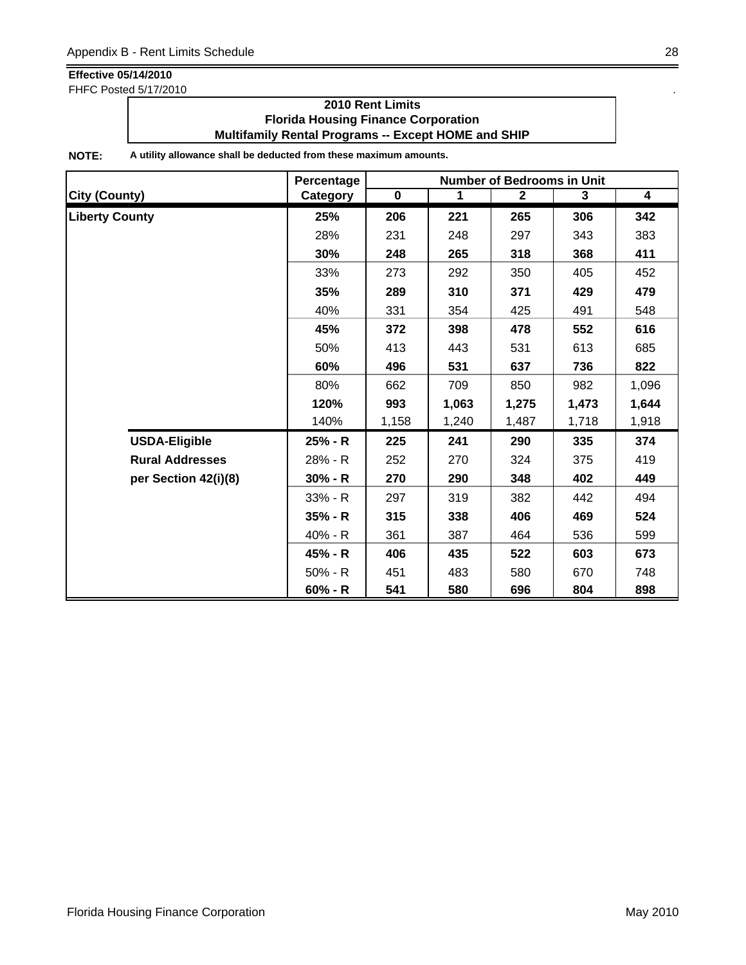FHFC Posted 5/17/2010 .

### **2010 Rent Limits Florida Housing Finance Corporation Multifamily Rental Programs -- Except HOME and SHIP**

|                        | Percentage | <b>Number of Bedrooms in Unit</b> |       |              |       |                         |  |
|------------------------|------------|-----------------------------------|-------|--------------|-------|-------------------------|--|
| <b>City (County)</b>   | Category   | $\mathbf 0$                       | 1     | $\mathbf{2}$ | 3     | $\overline{\mathbf{4}}$ |  |
| <b>Liberty County</b>  | 25%        | 206                               | 221   | 265          | 306   | 342                     |  |
|                        | 28%        | 231                               | 248   | 297          | 343   | 383                     |  |
|                        | 30%        | 248                               | 265   | 318          | 368   | 411                     |  |
|                        | 33%        | 273                               | 292   | 350          | 405   | 452                     |  |
|                        | 35%        | 289                               | 310   | 371          | 429   | 479                     |  |
|                        | 40%        | 331                               | 354   | 425          | 491   | 548                     |  |
|                        | 45%        | 372                               | 398   | 478          | 552   | 616                     |  |
|                        | 50%        | 413                               | 443   | 531          | 613   | 685                     |  |
|                        | 60%        | 496                               | 531   | 637          | 736   | 822                     |  |
|                        | 80%        | 662                               | 709   | 850          | 982   | 1,096                   |  |
|                        | 120%       | 993                               | 1,063 | 1,275        | 1,473 | 1,644                   |  |
|                        | 140%       | 1,158                             | 1,240 | 1,487        | 1,718 | 1,918                   |  |
| <b>USDA-Eligible</b>   | 25% - R    | 225                               | 241   | 290          | 335   | 374                     |  |
| <b>Rural Addresses</b> | 28% - R    | 252                               | 270   | 324          | 375   | 419                     |  |
| per Section 42(i)(8)   | $30% - R$  | 270                               | 290   | 348          | 402   | 449                     |  |
|                        | 33% - R    | 297                               | 319   | 382          | 442   | 494                     |  |
|                        | $35% - R$  | 315                               | 338   | 406          | 469   | 524                     |  |
|                        | 40% - R    | 361                               | 387   | 464          | 536   | 599                     |  |
|                        | 45% - R    | 406                               | 435   | 522          | 603   | 673                     |  |
|                        | $50% - R$  | 451                               | 483   | 580          | 670   | 748                     |  |
|                        | $60% - R$  | 541                               | 580   | 696          | 804   | 898                     |  |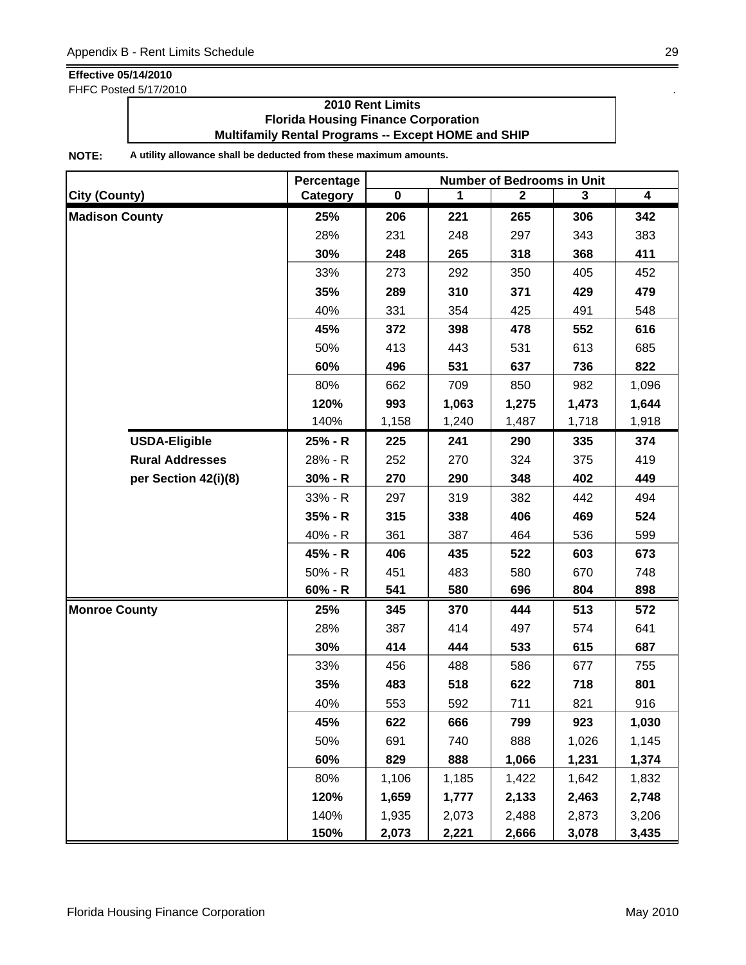FHFC Posted 5/17/2010 .

### **2010 Rent Limits Florida Housing Finance Corporation Multifamily Rental Programs -- Except HOME and SHIP**

|                        | Percentage | <b>Number of Bedrooms in Unit</b> |       |              |       |                         |
|------------------------|------------|-----------------------------------|-------|--------------|-------|-------------------------|
| <b>City (County)</b>   | Category   | $\overline{\mathbf{0}}$           | 1     | $\mathbf{2}$ | 3     | $\overline{\mathbf{4}}$ |
| <b>Madison County</b>  | 25%        | 206                               | 221   | 265          | 306   | 342                     |
|                        | 28%        | 231                               | 248   | 297          | 343   | 383                     |
|                        | 30%        | 248                               | 265   | 318          | 368   | 411                     |
|                        | 33%        | 273                               | 292   | 350          | 405   | 452                     |
|                        | 35%        | 289                               | 310   | 371          | 429   | 479                     |
|                        | 40%        | 331                               | 354   | 425          | 491   | 548                     |
|                        | 45%        | 372                               | 398   | 478          | 552   | 616                     |
|                        | 50%        | 413                               | 443   | 531          | 613   | 685                     |
|                        | 60%        | 496                               | 531   | 637          | 736   | 822                     |
|                        | 80%        | 662                               | 709   | 850          | 982   | 1,096                   |
|                        | 120%       | 993                               | 1,063 | 1,275        | 1,473 | 1,644                   |
|                        | 140%       | 1,158                             | 1,240 | 1,487        | 1,718 | 1,918                   |
| <b>USDA-Eligible</b>   | 25% - R    | 225                               | 241   | 290          | 335   | 374                     |
| <b>Rural Addresses</b> | 28% - R    | 252                               | 270   | 324          | 375   | 419                     |
| per Section 42(i)(8)   | $30% - R$  | 270                               | 290   | 348          | 402   | 449                     |
|                        | 33% - R    | 297                               | 319   | 382          | 442   | 494                     |
|                        | $35% - R$  | 315                               | 338   | 406          | 469   | 524                     |
|                        | 40% - R    | 361                               | 387   | 464          | 536   | 599                     |
|                        | 45% - R    | 406                               | 435   | 522          | 603   | 673                     |
|                        | $50% - R$  | 451                               | 483   | 580          | 670   | 748                     |
|                        | $60% - R$  | 541                               | 580   | 696          | 804   | 898                     |
| <b>Monroe County</b>   | 25%        | 345                               | 370   | 444          | 513   | 572                     |
|                        | 28%        | 387                               | 414   | 497          | 574   | 641                     |
|                        | 30%        | 414                               | 444   | 533          | 615   | 687                     |
|                        | 33%        | 456                               | 488   | 586          | 677   | 755                     |
|                        | 35%        | 483                               | 518   | 622          | 718   | 801                     |
|                        | 40%        | 553                               | 592   | 711          | 821   | 916                     |
|                        | 45%        | 622                               | 666   | 799          | 923   | 1,030                   |
|                        | 50%        | 691                               | 740   | 888          | 1,026 | 1,145                   |
|                        | 60%        | 829                               | 888   | 1,066        | 1,231 | 1,374                   |
|                        | 80%        | 1,106                             | 1,185 | 1,422        | 1,642 | 1,832                   |
|                        | 120%       | 1,659                             | 1,777 | 2,133        | 2,463 | 2,748                   |
|                        | 140%       | 1,935                             | 2,073 | 2,488        | 2,873 | 3,206                   |
|                        | 150%       | 2,073                             | 2,221 | 2,666        | 3,078 | 3,435                   |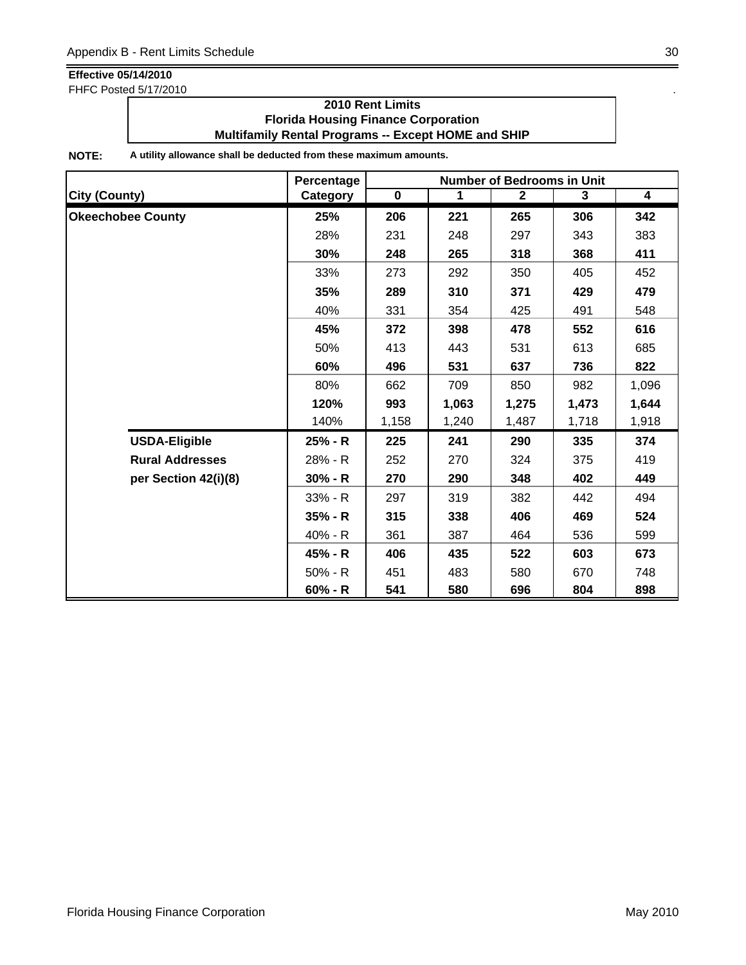FHFC Posted 5/17/2010 .

### **2010 Rent Limits Florida Housing Finance Corporation Multifamily Rental Programs -- Except HOME and SHIP**

|                          | Percentage | Number of Bedrooms in Unit |             |              |       |                         |  |
|--------------------------|------------|----------------------------|-------------|--------------|-------|-------------------------|--|
| <b>City (County)</b>     | Category   | $\mathbf 0$                | $\mathbf 1$ | $\mathbf{2}$ | 3     | $\overline{\mathbf{4}}$ |  |
| <b>Okeechobee County</b> | 25%        | 206                        | 221         | 265          | 306   | 342                     |  |
|                          | 28%        | 231                        | 248         | 297          | 343   | 383                     |  |
|                          | 30%        | 248                        | 265         | 318          | 368   | 411                     |  |
|                          | 33%        | 273                        | 292         | 350          | 405   | 452                     |  |
|                          | 35%        | 289                        | 310         | 371          | 429   | 479                     |  |
|                          | 40%        | 331                        | 354         | 425          | 491   | 548                     |  |
|                          | 45%        | 372                        | 398         | 478          | 552   | 616                     |  |
|                          | 50%        | 413                        | 443         | 531          | 613   | 685                     |  |
|                          | 60%        | 496                        | 531         | 637          | 736   | 822                     |  |
|                          | 80%        | 662                        | 709         | 850          | 982   | 1,096                   |  |
|                          | 120%       | 993                        | 1,063       | 1,275        | 1,473 | 1,644                   |  |
|                          | 140%       | 1,158                      | 1,240       | 1,487        | 1,718 | 1,918                   |  |
| <b>USDA-Eligible</b>     | 25% - R    | 225                        | 241         | 290          | 335   | 374                     |  |
| <b>Rural Addresses</b>   | 28% - R    | 252                        | 270         | 324          | 375   | 419                     |  |
| per Section 42(i)(8)     | $30% - R$  | 270                        | 290         | 348          | 402   | 449                     |  |
|                          | 33% - R    | 297                        | 319         | 382          | 442   | 494                     |  |
|                          | $35% - R$  | 315                        | 338         | 406          | 469   | 524                     |  |
|                          | 40% - R    | 361                        | 387         | 464          | 536   | 599                     |  |
|                          | 45% - R    | 406                        | 435         | 522          | 603   | 673                     |  |
|                          | 50% - R    | 451                        | 483         | 580          | 670   | 748                     |  |
|                          | $60% - R$  | 541                        | 580         | 696          | 804   | 898                     |  |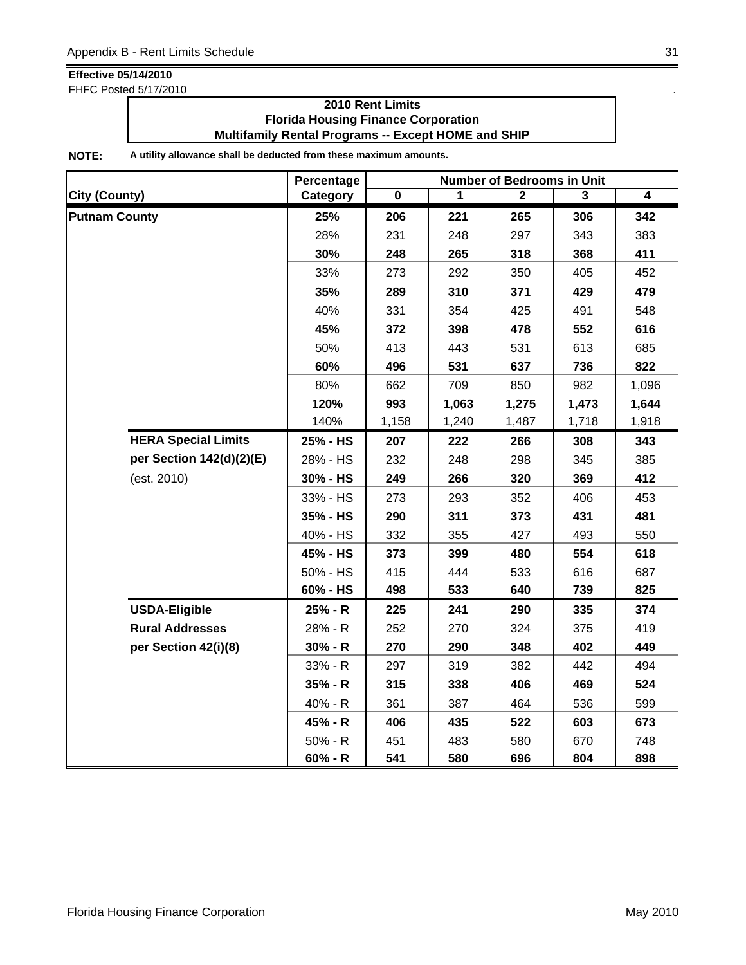FHFC Posted 5/17/2010 .

### **2010 Rent Limits Florida Housing Finance Corporation Multifamily Rental Programs -- Except HOME and SHIP**

|                            | Percentage |             |       | <b>Number of Bedrooms in Unit</b> |       |                |
|----------------------------|------------|-------------|-------|-----------------------------------|-------|----------------|
| <b>City (County)</b>       | Category   | $\mathbf 0$ | 1     | $\mathbf{2}$                      | 3     | $\overline{4}$ |
| <b>Putnam County</b>       | 25%        | 206         | 221   | 265                               | 306   | 342            |
|                            | 28%        | 231         | 248   | 297                               | 343   | 383            |
|                            | 30%        | 248         | 265   | 318                               | 368   | 411            |
|                            | 33%        | 273         | 292   | 350                               | 405   | 452            |
|                            | 35%        | 289         | 310   | 371                               | 429   | 479            |
|                            | 40%        | 331         | 354   | 425                               | 491   | 548            |
|                            | 45%        | 372         | 398   | 478                               | 552   | 616            |
|                            | 50%        | 413         | 443   | 531                               | 613   | 685            |
|                            | 60%        | 496         | 531   | 637                               | 736   | 822            |
|                            | 80%        | 662         | 709   | 850                               | 982   | 1,096          |
|                            | 120%       | 993         | 1,063 | 1,275                             | 1,473 | 1,644          |
|                            | 140%       | 1,158       | 1,240 | 1,487                             | 1,718 | 1,918          |
| <b>HERA Special Limits</b> | 25% - HS   | 207         | 222   | 266                               | 308   | 343            |
| per Section 142(d)(2)(E)   | 28% - HS   | 232         | 248   | 298                               | 345   | 385            |
| (est. 2010)                | 30% - HS   | 249         | 266   | 320                               | 369   | 412            |
|                            | 33% - HS   | 273         | 293   | 352                               | 406   | 453            |
|                            | 35% - HS   | 290         | 311   | 373                               | 431   | 481            |
|                            | 40% - HS   | 332         | 355   | 427                               | 493   | 550            |
|                            | 45% - HS   | 373         | 399   | 480                               | 554   | 618            |
|                            | 50% - HS   | 415         | 444   | 533                               | 616   | 687            |
|                            | 60% - HS   | 498         | 533   | 640                               | 739   | 825            |
| <b>USDA-Eligible</b>       | 25% - R    | 225         | 241   | 290                               | 335   | 374            |
| <b>Rural Addresses</b>     | 28% - R    | 252         | 270   | 324                               | 375   | 419            |
| per Section 42(i)(8)       | $30% - R$  | 270         | 290   | 348                               | 402   | 449            |
|                            | 33% - R    | 297         | 319   | 382                               | 442   | 494            |
|                            | 35% - R    | 315         | 338   | 406                               | 469   | 524            |
|                            | 40% - R    | 361         | 387   | 464                               | 536   | 599            |
|                            | 45% - R    | 406         | 435   | 522                               | 603   | 673            |
|                            | $50% - R$  | 451         | 483   | 580                               | 670   | 748            |
|                            | $60% - R$  | 541         | 580   | 696                               | 804   | 898            |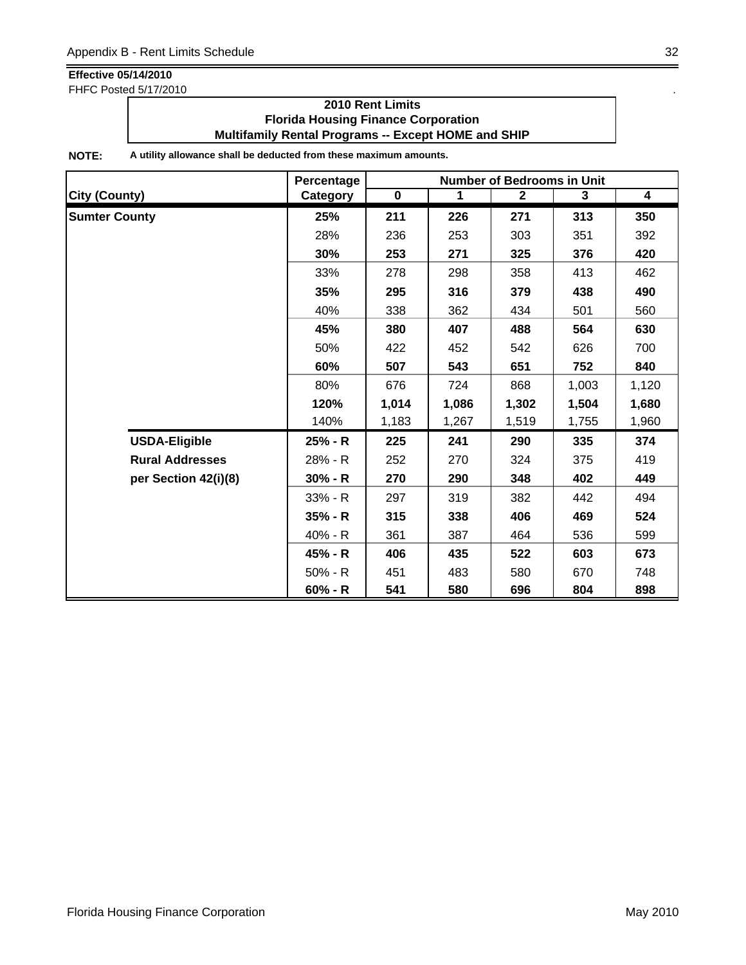FHFC Posted 5/17/2010 .

### **2010 Rent Limits Florida Housing Finance Corporation Multifamily Rental Programs -- Except HOME and SHIP**

|                        | Percentage | <b>Number of Bedrooms in Unit</b> |       |                |       |                         |  |
|------------------------|------------|-----------------------------------|-------|----------------|-------|-------------------------|--|
| <b>City (County)</b>   | Category   | $\mathbf 0$                       | 1     | $\overline{2}$ | 3     | $\overline{\mathbf{4}}$ |  |
| <b>Sumter County</b>   | 25%        | 211                               | 226   | 271            | 313   | 350                     |  |
|                        | 28%        | 236                               | 253   | 303            | 351   | 392                     |  |
|                        | 30%        | 253                               | 271   | 325            | 376   | 420                     |  |
|                        | 33%        | 278                               | 298   | 358            | 413   | 462                     |  |
|                        | 35%        | 295                               | 316   | 379            | 438   | 490                     |  |
|                        | 40%        | 338                               | 362   | 434            | 501   | 560                     |  |
|                        | 45%        | 380                               | 407   | 488            | 564   | 630                     |  |
|                        | 50%        | 422                               | 452   | 542            | 626   | 700                     |  |
|                        | 60%        | 507                               | 543   | 651            | 752   | 840                     |  |
|                        | 80%        | 676                               | 724   | 868            | 1,003 | 1,120                   |  |
|                        | 120%       | 1,014                             | 1,086 | 1,302          | 1,504 | 1,680                   |  |
|                        | 140%       | 1,183                             | 1,267 | 1,519          | 1,755 | 1,960                   |  |
| <b>USDA-Eligible</b>   | 25% - R    | 225                               | 241   | 290            | 335   | 374                     |  |
| <b>Rural Addresses</b> | 28% - R    | 252                               | 270   | 324            | 375   | 419                     |  |
| per Section 42(i)(8)   | $30% - R$  | 270                               | 290   | 348            | 402   | 449                     |  |
|                        | 33% - R    | 297                               | 319   | 382            | 442   | 494                     |  |
|                        | $35% - R$  | 315                               | 338   | 406            | 469   | 524                     |  |
|                        | 40% - R    | 361                               | 387   | 464            | 536   | 599                     |  |
|                        | 45% - R    | 406                               | 435   | 522            | 603   | 673                     |  |
|                        | $50% - R$  | 451                               | 483   | 580            | 670   | 748                     |  |
|                        | $60% - R$  | 541                               | 580   | 696            | 804   | 898                     |  |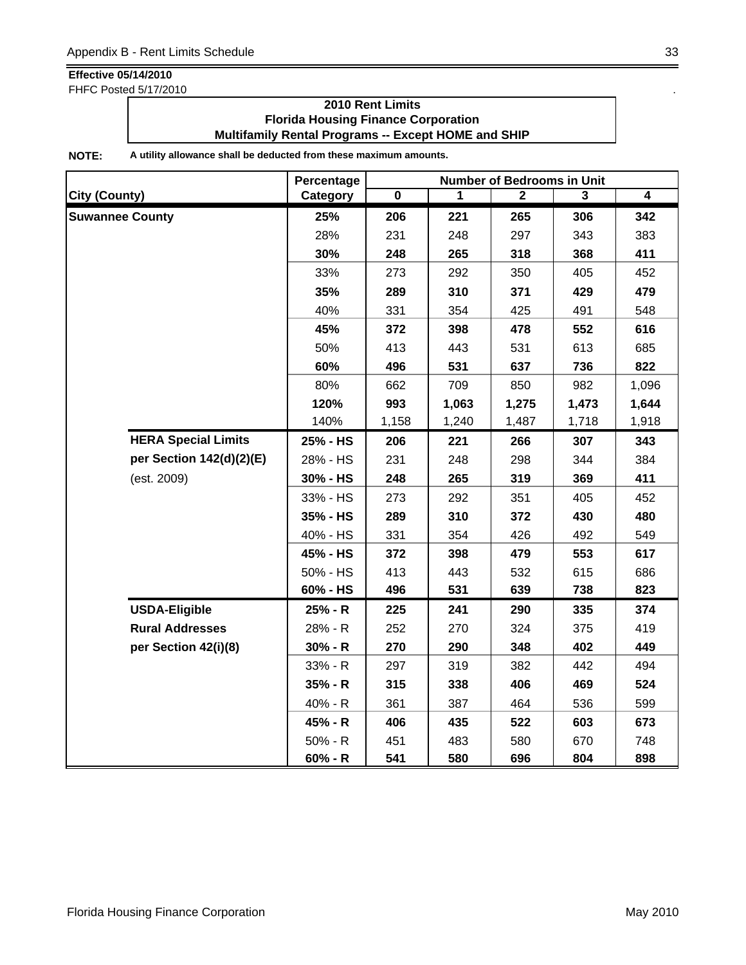FHFC Posted 5/17/2010 .

### **2010 Rent Limits Florida Housing Finance Corporation Multifamily Rental Programs -- Except HOME and SHIP**

|                            | Percentage | <b>Number of Bedrooms in Unit</b> |       |              |       |                |  |
|----------------------------|------------|-----------------------------------|-------|--------------|-------|----------------|--|
| <b>City (County)</b>       | Category   | $\mathbf 0$                       | 1     | $\mathbf{2}$ | 3     | $\overline{4}$ |  |
| <b>Suwannee County</b>     | 25%        | 206                               | 221   | 265          | 306   | 342            |  |
|                            | 28%        | 231                               | 248   | 297          | 343   | 383            |  |
|                            | 30%        | 248                               | 265   | 318          | 368   | 411            |  |
|                            | 33%        | 273                               | 292   | 350          | 405   | 452            |  |
|                            | 35%        | 289                               | 310   | 371          | 429   | 479            |  |
|                            | 40%        | 331                               | 354   | 425          | 491   | 548            |  |
|                            | 45%        | 372                               | 398   | 478          | 552   | 616            |  |
|                            | 50%        | 413                               | 443   | 531          | 613   | 685            |  |
|                            | 60%        | 496                               | 531   | 637          | 736   | 822            |  |
|                            | 80%        | 662                               | 709   | 850          | 982   | 1,096          |  |
|                            | 120%       | 993                               | 1,063 | 1,275        | 1,473 | 1,644          |  |
|                            | 140%       | 1,158                             | 1,240 | 1,487        | 1,718 | 1,918          |  |
| <b>HERA Special Limits</b> | 25% - HS   | 206                               | 221   | 266          | 307   | 343            |  |
| per Section 142(d)(2)(E)   | 28% - HS   | 231                               | 248   | 298          | 344   | 384            |  |
| (est. 2009)                | 30% - HS   | 248                               | 265   | 319          | 369   | 411            |  |
|                            | 33% - HS   | 273                               | 292   | 351          | 405   | 452            |  |
|                            | 35% - HS   | 289                               | 310   | 372          | 430   | 480            |  |
|                            | 40% - HS   | 331                               | 354   | 426          | 492   | 549            |  |
|                            | 45% - HS   | 372                               | 398   | 479          | 553   | 617            |  |
|                            | 50% - HS   | 413                               | 443   | 532          | 615   | 686            |  |
|                            | 60% - HS   | 496                               | 531   | 639          | 738   | 823            |  |
| <b>USDA-Eligible</b>       | 25% - R    | 225                               | 241   | 290          | 335   | 374            |  |
| <b>Rural Addresses</b>     | 28% - R    | 252                               | 270   | 324          | 375   | 419            |  |
| per Section 42(i)(8)       | $30% - R$  | 270                               | 290   | 348          | 402   | 449            |  |
|                            | 33% - R    | 297                               | 319   | 382          | 442   | 494            |  |
|                            | $35% - R$  | 315                               | 338   | 406          | 469   | 524            |  |
|                            | 40% - R    | 361                               | 387   | 464          | 536   | 599            |  |
|                            | 45% - R    | 406                               | 435   | 522          | 603   | 673            |  |
|                            | $50% - R$  | 451                               | 483   | 580          | 670   | 748            |  |
|                            | $60% - R$  | 541                               | 580   | 696          | 804   | 898            |  |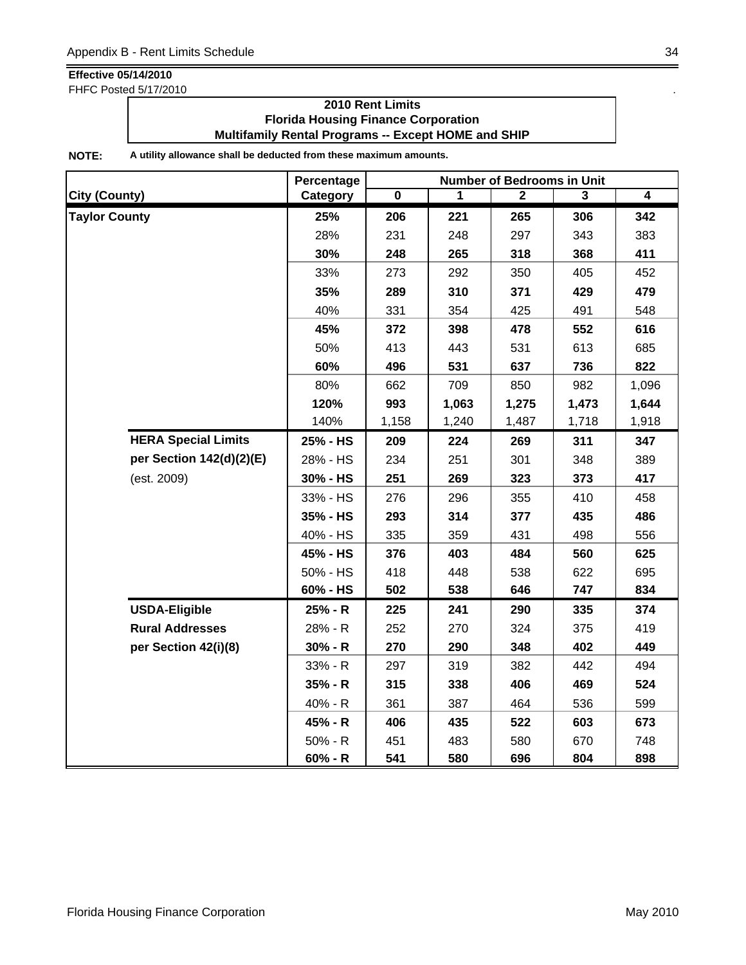FHFC Posted 5/17/2010 .

### **2010 Rent Limits Florida Housing Finance Corporation Multifamily Rental Programs -- Except HOME and SHIP**

|                            | Percentage |             |       | <b>Number of Bedrooms in Unit</b> |       |       |
|----------------------------|------------|-------------|-------|-----------------------------------|-------|-------|
| <b>City (County)</b>       | Category   | $\mathbf 0$ | 1     | $\mathbf{2}$                      | 3     | 4     |
| <b>Taylor County</b>       | 25%        | 206         | 221   | 265                               | 306   | 342   |
|                            | 28%        | 231         | 248   | 297                               | 343   | 383   |
|                            | 30%        | 248         | 265   | 318                               | 368   | 411   |
|                            | 33%        | 273         | 292   | 350                               | 405   | 452   |
|                            | 35%        | 289         | 310   | 371                               | 429   | 479   |
|                            | 40%        | 331         | 354   | 425                               | 491   | 548   |
|                            | 45%        | 372         | 398   | 478                               | 552   | 616   |
|                            | 50%        | 413         | 443   | 531                               | 613   | 685   |
|                            | 60%        | 496         | 531   | 637                               | 736   | 822   |
|                            | 80%        | 662         | 709   | 850                               | 982   | 1,096 |
|                            | 120%       | 993         | 1,063 | 1,275                             | 1,473 | 1,644 |
|                            | 140%       | 1,158       | 1,240 | 1,487                             | 1,718 | 1,918 |
| <b>HERA Special Limits</b> | 25% - HS   | 209         | 224   | 269                               | 311   | 347   |
| per Section 142(d)(2)(E)   | 28% - HS   | 234         | 251   | 301                               | 348   | 389   |
| (est. 2009)                | 30% - HS   | 251         | 269   | 323                               | 373   | 417   |
|                            | 33% - HS   | 276         | 296   | 355                               | 410   | 458   |
|                            | 35% - HS   | 293         | 314   | 377                               | 435   | 486   |
|                            | 40% - HS   | 335         | 359   | 431                               | 498   | 556   |
|                            | 45% - HS   | 376         | 403   | 484                               | 560   | 625   |
|                            | 50% - HS   | 418         | 448   | 538                               | 622   | 695   |
|                            | 60% - HS   | 502         | 538   | 646                               | 747   | 834   |
| <b>USDA-Eligible</b>       | 25% - R    | 225         | 241   | 290                               | 335   | 374   |
| <b>Rural Addresses</b>     | 28% - R    | 252         | 270   | 324                               | 375   | 419   |
| per Section 42(i)(8)       | $30% - R$  | 270         | 290   | 348                               | 402   | 449   |
|                            | 33% - R    | 297         | 319   | 382                               | 442   | 494   |
|                            | 35% - R    | 315         | 338   | 406                               | 469   | 524   |
|                            | 40% - R    | 361         | 387   | 464                               | 536   | 599   |
|                            | 45% - R    | 406         | 435   | 522                               | 603   | 673   |
|                            | $50% - R$  | 451         | 483   | 580                               | 670   | 748   |
|                            | 60% - R    | 541         | 580   | 696                               | 804   | 898   |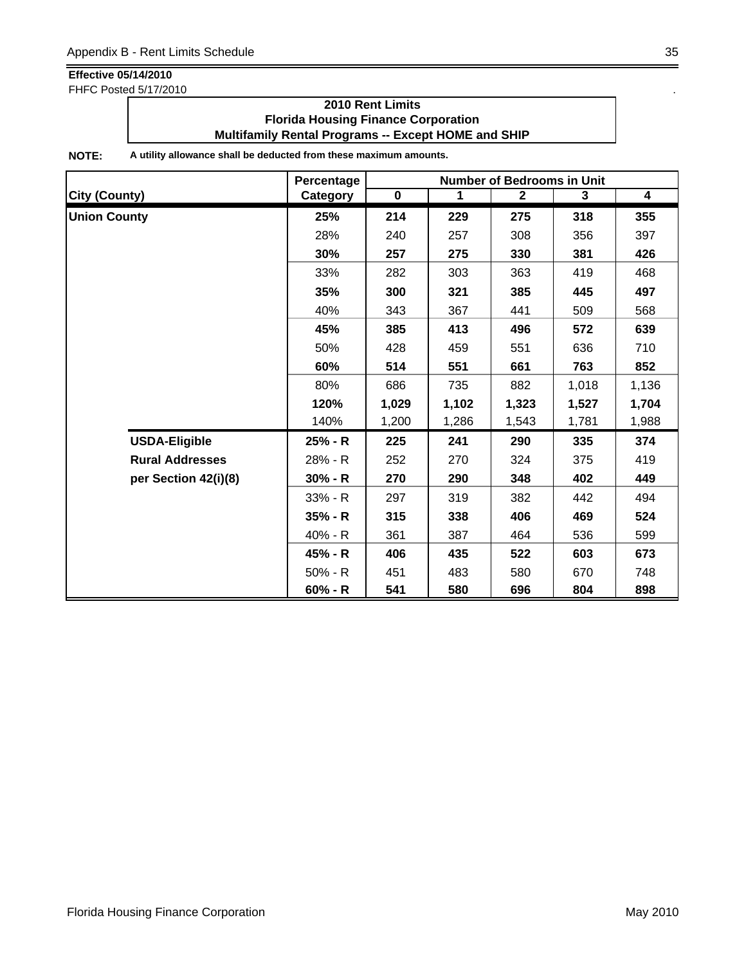FHFC Posted 5/17/2010 .

### **2010 Rent Limits Florida Housing Finance Corporation Multifamily Rental Programs -- Except HOME and SHIP**

|                        | Percentage      | <b>Number of Bedrooms in Unit</b> |             |              |       |                |  |
|------------------------|-----------------|-----------------------------------|-------------|--------------|-------|----------------|--|
| <b>City (County)</b>   | <b>Category</b> | $\overline{\mathbf{0}}$           | $\mathbf 1$ | $\mathbf{2}$ | 3     | $\overline{4}$ |  |
| <b>Union County</b>    | 25%             | 214                               | 229         | 275          | 318   | 355            |  |
|                        | 28%             | 240                               | 257         | 308          | 356   | 397            |  |
|                        | 30%             | 257                               | 275         | 330          | 381   | 426            |  |
|                        | 33%             | 282                               | 303         | 363          | 419   | 468            |  |
|                        | 35%             | 300                               | 321         | 385          | 445   | 497            |  |
|                        | 40%             | 343                               | 367         | 441          | 509   | 568            |  |
|                        | 45%             | 385                               | 413         | 496          | 572   | 639            |  |
|                        | 50%             | 428                               | 459         | 551          | 636   | 710            |  |
|                        | 60%             | 514                               | 551         | 661          | 763   | 852            |  |
|                        | 80%             | 686                               | 735         | 882          | 1,018 | 1,136          |  |
|                        | 120%            | 1,029                             | 1,102       | 1,323        | 1,527 | 1,704          |  |
|                        | 140%            | 1,200                             | 1,286       | 1,543        | 1,781 | 1,988          |  |
| <b>USDA-Eligible</b>   | 25% - R         | 225                               | 241         | 290          | 335   | 374            |  |
| <b>Rural Addresses</b> | 28% - R         | 252                               | 270         | 324          | 375   | 419            |  |
| per Section 42(i)(8)   | $30% - R$       | 270                               | 290         | 348          | 402   | 449            |  |
|                        | 33% - R         | 297                               | 319         | 382          | 442   | 494            |  |
|                        | 35% - R         | 315                               | 338         | 406          | 469   | 524            |  |
|                        | 40% - R         | 361                               | 387         | 464          | 536   | 599            |  |
|                        | 45% - R         | 406                               | 435         | 522          | 603   | 673            |  |
|                        | 50% - R         | 451                               | 483         | 580          | 670   | 748            |  |
|                        | $60% - R$       | 541                               | 580         | 696          | 804   | 898            |  |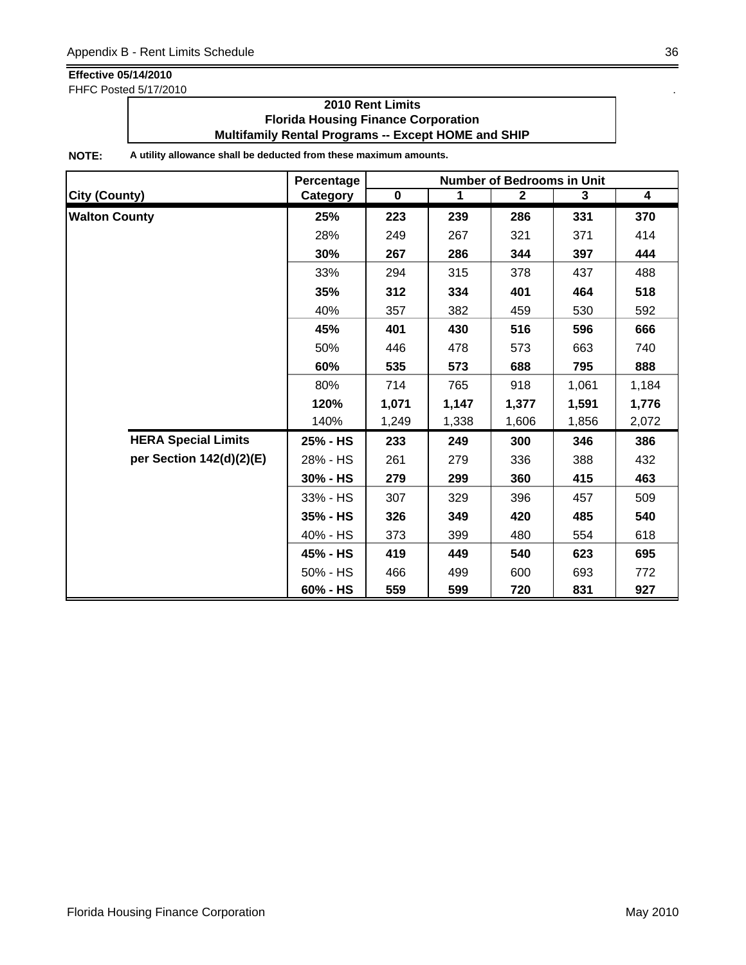FHFC Posted 5/17/2010 .

### **2010 Rent Limits Florida Housing Finance Corporation Multifamily Rental Programs -- Except HOME and SHIP**

|                            | Percentage | <b>Number of Bedrooms in Unit</b> |             |              |       |                         |  |
|----------------------------|------------|-----------------------------------|-------------|--------------|-------|-------------------------|--|
| <b>City (County)</b>       | Category   | $\mathbf 0$                       | $\mathbf 1$ | $\mathbf{2}$ | 3     | $\overline{\mathbf{4}}$ |  |
| <b>Walton County</b>       | 25%        | 223                               | 239         | 286          | 331   | 370                     |  |
|                            | 28%        | 249                               | 267         | 321          | 371   | 414                     |  |
|                            | 30%        | 267                               | 286         | 344          | 397   | 444                     |  |
|                            | 33%        | 294                               | 315         | 378          | 437   | 488                     |  |
|                            | 35%        | 312                               | 334         | 401          | 464   | 518                     |  |
|                            | 40%        | 357                               | 382         | 459          | 530   | 592                     |  |
|                            | 45%        | 401                               | 430         | 516          | 596   | 666                     |  |
|                            | 50%        | 446                               | 478         | 573          | 663   | 740                     |  |
|                            | 60%        | 535                               | 573         | 688          | 795   | 888                     |  |
|                            | 80%        | 714                               | 765         | 918          | 1,061 | 1,184                   |  |
|                            | 120%       | 1,071                             | 1,147       | 1,377        | 1,591 | 1,776                   |  |
|                            | 140%       | 1,249                             | 1,338       | 1,606        | 1,856 | 2,072                   |  |
| <b>HERA Special Limits</b> | 25% - HS   | 233                               | 249         | 300          | 346   | 386                     |  |
| per Section 142(d)(2)(E)   | 28% - HS   | 261                               | 279         | 336          | 388   | 432                     |  |
|                            | 30% - HS   | 279                               | 299         | 360          | 415   | 463                     |  |
|                            | 33% - HS   | 307                               | 329         | 396          | 457   | 509                     |  |
|                            | 35% - HS   | 326                               | 349         | 420          | 485   | 540                     |  |
|                            | 40% - HS   | 373                               | 399         | 480          | 554   | 618                     |  |
|                            | 45% - HS   | 419                               | 449         | 540          | 623   | 695                     |  |
|                            | 50% - HS   | 466                               | 499         | 600          | 693   | 772                     |  |
|                            | 60% - HS   | 559                               | 599         | 720          | 831   | 927                     |  |